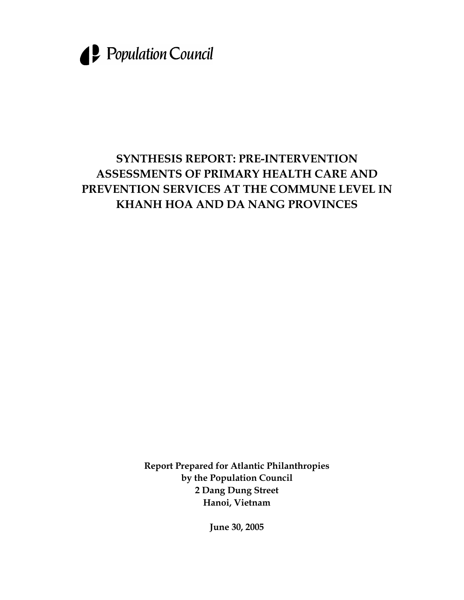

# **SYNTHESIS REPORT: PRE-INTERVENTION ASSESSMENTS OF PRIMARY HEALTH CARE AND PREVENTION SERVICES AT THE COMMUNE LEVEL IN KHANH HOA AND DA NANG PROVINCES**

**Report Prepared for Atlantic Philanthropies by the Population Council 2 Dang Dung Street Hanoi, Vietnam** 

**June 30, 2005**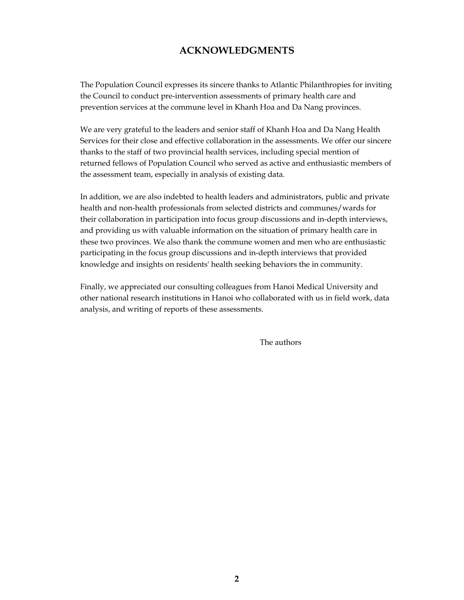### **ACKNOWLEDGMENTS**

The Population Council expresses its sincere thanks to Atlantic Philanthropies for inviting the Council to conduct pre-intervention assessments of primary health care and prevention services at the commune level in Khanh Hoa and Da Nang provinces.

We are very grateful to the leaders and senior staff of Khanh Hoa and Da Nang Health Services for their close and effective collaboration in the assessments. We offer our sincere thanks to the staff of two provincial health services, including special mention of returned fellows of Population Council who served as active and enthusiastic members of the assessment team, especially in analysis of existing data.

In addition, we are also indebted to health leaders and administrators, public and private health and non-health professionals from selected districts and communes/wards for their collaboration in participation into focus group discussions and in-depth interviews, and providing us with valuable information on the situation of primary health care in these two provinces. We also thank the commune women and men who are enthusiastic participating in the focus group discussions and in-depth interviews that provided knowledge and insights on residents' health seeking behaviors the in community.

Finally, we appreciated our consulting colleagues from Hanoi Medical University and other national research institutions in Hanoi who collaborated with us in field work, data analysis, and writing of reports of these assessments.

The authors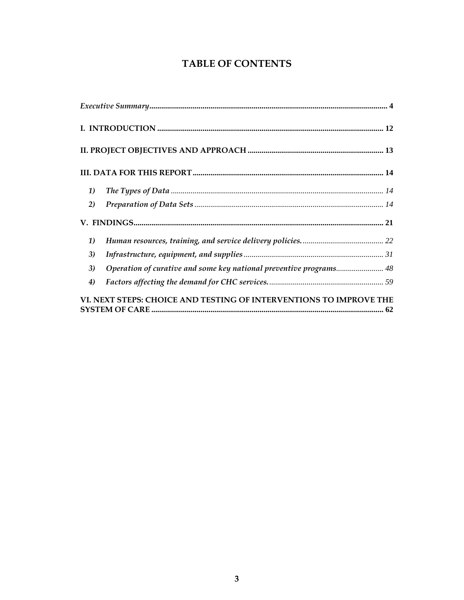## **TABLE OF CONTENTS**

| 1)                                                                       |
|--------------------------------------------------------------------------|
| 2)                                                                       |
|                                                                          |
| 1)                                                                       |
| 3)                                                                       |
| Operation of curative and some key national preventive programs 48<br>3) |
| 4)                                                                       |
| VI. NEXT STEPS: CHOICE AND TESTING OF INTERVENTIONS TO IMPROVE THE       |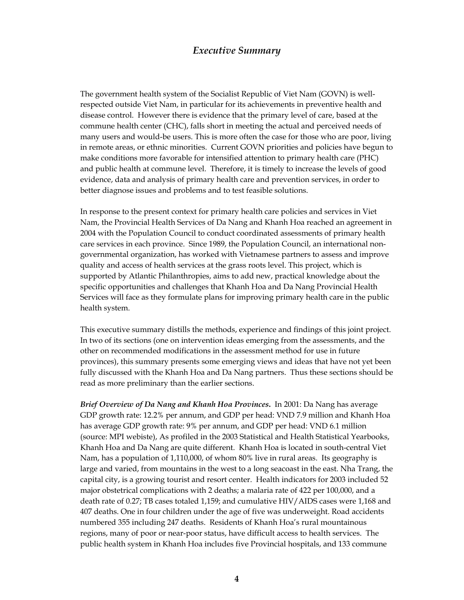### *Executive Summary*

The government health system of the Socialist Republic of Viet Nam (GOVN) is wellrespected outside Viet Nam, in particular for its achievements in preventive health and disease control. However there is evidence that the primary level of care, based at the commune health center (CHC), falls short in meeting the actual and perceived needs of many users and would-be users. This is more often the case for those who are poor, living in remote areas, or ethnic minorities. Current GOVN priorities and policies have begun to make conditions more favorable for intensified attention to primary health care (PHC) and public health at commune level. Therefore, it is timely to increase the levels of good evidence, data and analysis of primary health care and prevention services, in order to better diagnose issues and problems and to test feasible solutions.

In response to the present context for primary health care policies and services in Viet Nam, the Provincial Health Services of Da Nang and Khanh Hoa reached an agreement in 2004 with the Population Council to conduct coordinated assessments of primary health care services in each province. Since 1989, the Population Council, an international nongovernmental organization, has worked with Vietnamese partners to assess and improve quality and access of health services at the grass roots level. This project, which is supported by Atlantic Philanthropies, aims to add new, practical knowledge about the specific opportunities and challenges that Khanh Hoa and Da Nang Provincial Health Services will face as they formulate plans for improving primary health care in the public health system.

This executive summary distills the methods, experience and findings of this joint project. In two of its sections (one on intervention ideas emerging from the assessments, and the other on recommended modifications in the assessment method for use in future provinces), this summary presents some emerging views and ideas that have not yet been fully discussed with the Khanh Hoa and Da Nang partners. Thus these sections should be read as more preliminary than the earlier sections.

*Brief Overview of Da Nang and Khanh Hoa Provinces***.** In 2001: Da Nang has average GDP growth rate: 12.2% per annum, and GDP per head: VND 7.9 million and Khanh Hoa has average GDP growth rate: 9% per annum, and GDP per head: VND 6.1 million (source: MPI webiste), As profiled in the 2003 Statistical and Health Statistical Yearbooks, Khanh Hoa and Da Nang are quite different. Khanh Hoa is located in south-central Viet Nam, has a population of 1,110,000, of whom 80% live in rural areas. Its geography is large and varied, from mountains in the west to a long seacoast in the east. Nha Trang, the capital city, is a growing tourist and resort center. Health indicators for 2003 included 52 major obstetrical complications with 2 deaths; a malaria rate of 422 per 100,000, and a death rate of 0.27; TB cases totaled 1,159; and cumulative HIV/AIDS cases were 1,168 and 407 deaths. One in four children under the age of five was underweight. Road accidents numbered 355 including 247 deaths. Residents of Khanh Hoa's rural mountainous regions, many of poor or near-poor status, have difficult access to health services. The public health system in Khanh Hoa includes five Provincial hospitals, and 133 commune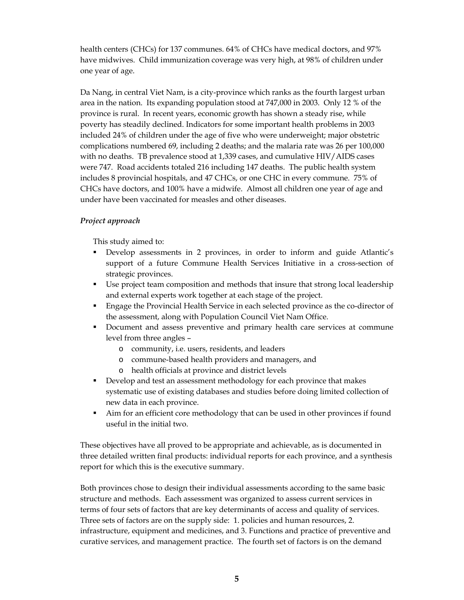health centers (CHCs) for 137 communes. 64% of CHCs have medical doctors, and 97% have midwives. Child immunization coverage was very high, at 98% of children under one year of age.

Da Nang, in central Viet Nam, is a city-province which ranks as the fourth largest urban area in the nation. Its expanding population stood at 747,000 in 2003. Only 12 % of the province is rural. In recent years, economic growth has shown a steady rise, while poverty has steadily declined. Indicators for some important health problems in 2003 included 24% of children under the age of five who were underweight; major obstetric complications numbered 69, including 2 deaths; and the malaria rate was 26 per 100,000 with no deaths. TB prevalence stood at 1,339 cases, and cumulative HIV/AIDS cases were 747. Road accidents totaled 216 including 147 deaths. The public health system includes 8 provincial hospitals, and 47 CHCs, or one CHC in every commune. 75% of CHCs have doctors, and 100% have a midwife. Almost all children one year of age and under have been vaccinated for measles and other diseases.

### *Project approach*

This study aimed to:

- Develop assessments in 2 provinces, in order to inform and guide Atlantic's support of a future Commune Health Services Initiative in a cross-section of strategic provinces.
- Use project team composition and methods that insure that strong local leadership and external experts work together at each stage of the project.
- Engage the Provincial Health Service in each selected province as the co-director of the assessment, along with Population Council Viet Nam Office.
- Document and assess preventive and primary health care services at commune level from three angles –
	- o community, i.e. users, residents, and leaders
	- o commune-based health providers and managers, and
	- o health officials at province and district levels
- Develop and test an assessment methodology for each province that makes systematic use of existing databases and studies before doing limited collection of new data in each province.
- Aim for an efficient core methodology that can be used in other provinces if found useful in the initial two.

These objectives have all proved to be appropriate and achievable, as is documented in three detailed written final products: individual reports for each province, and a synthesis report for which this is the executive summary.

Both provinces chose to design their individual assessments according to the same basic structure and methods. Each assessment was organized to assess current services in terms of four sets of factors that are key determinants of access and quality of services. Three sets of factors are on the supply side: 1. policies and human resources, 2. infrastructure, equipment and medicines, and 3. Functions and practice of preventive and curative services, and management practice. The fourth set of factors is on the demand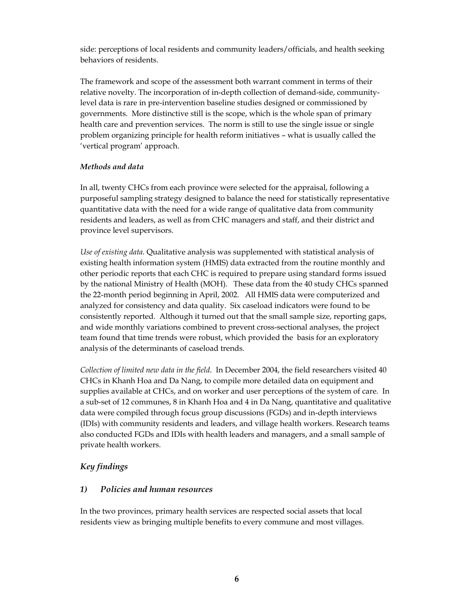side: perceptions of local residents and community leaders/officials, and health seeking behaviors of residents.

The framework and scope of the assessment both warrant comment in terms of their relative novelty. The incorporation of in-depth collection of demand-side, communitylevel data is rare in pre-intervention baseline studies designed or commissioned by governments. More distinctive still is the scope, which is the whole span of primary health care and prevention services. The norm is still to use the single issue or single problem organizing principle for health reform initiatives – what is usually called the 'vertical program' approach.

#### *Methods and data*

In all, twenty CHCs from each province were selected for the appraisal, following a purposeful sampling strategy designed to balance the need for statistically representative quantitative data with the need for a wide range of qualitative data from community residents and leaders, as well as from CHC managers and staff, and their district and province level supervisors.

*Use of existing data*. Qualitative analysis was supplemented with statistical analysis of existing health information system (HMIS) data extracted from the routine monthly and other periodic reports that each CHC is required to prepare using standard forms issued by the national Ministry of Health (MOH). These data from the 40 study CHCs spanned the 22-month period beginning in April, 2002. All HMIS data were computerized and analyzed for consistency and data quality. Six caseload indicators were found to be consistently reported. Although it turned out that the small sample size, reporting gaps, and wide monthly variations combined to prevent cross-sectional analyses, the project team found that time trends were robust, which provided the basis for an exploratory analysis of the determinants of caseload trends.

*Collection of limited new data in the field*. In December 2004, the field researchers visited 40 CHCs in Khanh Hoa and Da Nang, to compile more detailed data on equipment and supplies available at CHCs, and on worker and user perceptions of the system of care. In a sub-set of 12 communes, 8 in Khanh Hoa and 4 in Da Nang, quantitative and qualitative data were compiled through focus group discussions (FGDs) and in-depth interviews (IDIs) with community residents and leaders, and village health workers. Research teams also conducted FGDs and IDIs with health leaders and managers, and a small sample of private health workers.

### *Key findings*

### *1) Policies and human resources*

In the two provinces, primary health services are respected social assets that local residents view as bringing multiple benefits to every commune and most villages.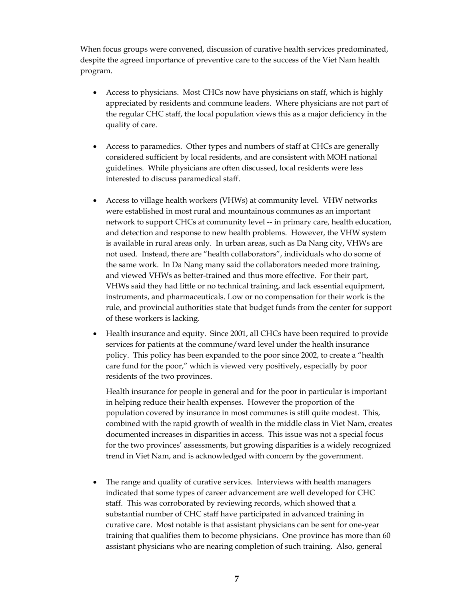When focus groups were convened, discussion of curative health services predominated, despite the agreed importance of preventive care to the success of the Viet Nam health program.

- Access to physicians. Most CHCs now have physicians on staff, which is highly appreciated by residents and commune leaders. Where physicians are not part of the regular CHC staff, the local population views this as a major deficiency in the quality of care.
- Access to paramedics. Other types and numbers of staff at CHCs are generally considered sufficient by local residents, and are consistent with MOH national guidelines. While physicians are often discussed, local residents were less interested to discuss paramedical staff.
- Access to village health workers (VHWs) at community level. VHW networks were established in most rural and mountainous communes as an important network to support CHCs at community level -- in primary care, health education, and detection and response to new health problems. However, the VHW system is available in rural areas only. In urban areas, such as Da Nang city, VHWs are not used. Instead, there are "health collaborators", individuals who do some of the same work. In Da Nang many said the collaborators needed more training, and viewed VHWs as better-trained and thus more effective. For their part, VHWs said they had little or no technical training, and lack essential equipment, instruments, and pharmaceuticals. Low or no compensation for their work is the rule, and provincial authorities state that budget funds from the center for support of these workers is lacking.
- Health insurance and equity. Since 2001, all CHCs have been required to provide services for patients at the commune/ward level under the health insurance policy. This policy has been expanded to the poor since 2002, to create a "health care fund for the poor," which is viewed very positively, especially by poor residents of the two provinces.

Health insurance for people in general and for the poor in particular is important in helping reduce their health expenses. However the proportion of the population covered by insurance in most communes is still quite modest. This, combined with the rapid growth of wealth in the middle class in Viet Nam, creates documented increases in disparities in access. This issue was not a special focus for the two provinces' assessments, but growing disparities is a widely recognized trend in Viet Nam, and is acknowledged with concern by the government.

• The range and quality of curative services. Interviews with health managers indicated that some types of career advancement are well developed for CHC staff. This was corroborated by reviewing records, which showed that a substantial number of CHC staff have participated in advanced training in curative care. Most notable is that assistant physicians can be sent for one-year training that qualifies them to become physicians. One province has more than 60 assistant physicians who are nearing completion of such training. Also, general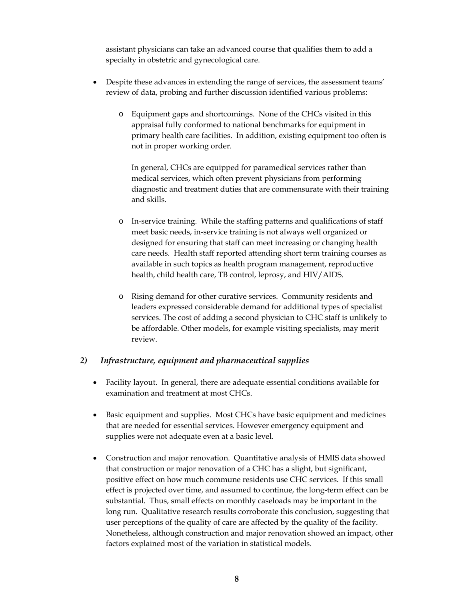assistant physicians can take an advanced course that qualifies them to add a specialty in obstetric and gynecological care.

- Despite these advances in extending the range of services, the assessment teams' review of data, probing and further discussion identified various problems:
	- o Equipment gaps and shortcomings. None of the CHCs visited in this appraisal fully conformed to national benchmarks for equipment in primary health care facilities. In addition, existing equipment too often is not in proper working order.

In general, CHCs are equipped for paramedical services rather than medical services, which often prevent physicians from performing diagnostic and treatment duties that are commensurate with their training and skills.

- o In-service training. While the staffing patterns and qualifications of staff meet basic needs, in-service training is not always well organized or designed for ensuring that staff can meet increasing or changing health care needs. Health staff reported attending short term training courses as available in such topics as health program management, reproductive health, child health care, TB control, leprosy, and HIV/AIDS.
- o Rising demand for other curative services. Community residents and leaders expressed considerable demand for additional types of specialist services. The cost of adding a second physician to CHC staff is unlikely to be affordable. Other models, for example visiting specialists, may merit review.

### *2) Infrastructure, equipment and pharmaceutical supplies*

- Facility layout. In general, there are adequate essential conditions available for examination and treatment at most CHCs.
- Basic equipment and supplies. Most CHCs have basic equipment and medicines that are needed for essential services. However emergency equipment and supplies were not adequate even at a basic level.
- Construction and major renovation. Quantitative analysis of HMIS data showed that construction or major renovation of a CHC has a slight, but significant, positive effect on how much commune residents use CHC services. If this small effect is projected over time, and assumed to continue, the long-term effect can be substantial. Thus, small effects on monthly caseloads may be important in the long run. Qualitative research results corroborate this conclusion, suggesting that user perceptions of the quality of care are affected by the quality of the facility. Nonetheless, although construction and major renovation showed an impact, other factors explained most of the variation in statistical models.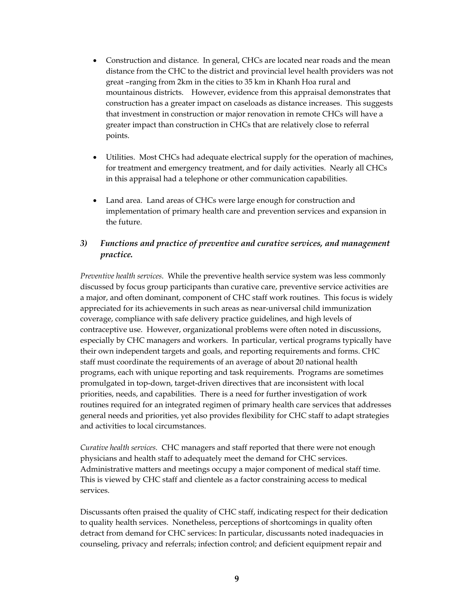- Construction and distance. In general, CHCs are located near roads and the mean distance from the CHC to the district and provincial level health providers was not great –ranging from 2km in the cities to 35 km in Khanh Hoa rural and mountainous districts. However, evidence from this appraisal demonstrates that construction has a greater impact on caseloads as distance increases. This suggests that investment in construction or major renovation in remote CHCs will have a greater impact than construction in CHCs that are relatively close to referral points.
- Utilities. Most CHCs had adequate electrical supply for the operation of machines, for treatment and emergency treatment, and for daily activities. Nearly all CHCs in this appraisal had a telephone or other communication capabilities.
- Land area. Land areas of CHCs were large enough for construction and implementation of primary health care and prevention services and expansion in the future.

### *3) Functions and practice of preventive and curative services, and management practice.*

*Preventive health services*. While the preventive health service system was less commonly discussed by focus group participants than curative care, preventive service activities are a major, and often dominant, component of CHC staff work routines. This focus is widely appreciated for its achievements in such areas as near-universal child immunization coverage, compliance with safe delivery practice guidelines, and high levels of contraceptive use. However, organizational problems were often noted in discussions, especially by CHC managers and workers. In particular, vertical programs typically have their own independent targets and goals, and reporting requirements and forms. CHC staff must coordinate the requirements of an average of about 20 national health programs, each with unique reporting and task requirements. Programs are sometimes promulgated in top-down, target-driven directives that are inconsistent with local priorities, needs, and capabilities. There is a need for further investigation of work routines required for an integrated regimen of primary health care services that addresses general needs and priorities, yet also provides flexibility for CHC staff to adapt strategies and activities to local circumstances.

*Curative health services.* CHC managers and staff reported that there were not enough physicians and health staff to adequately meet the demand for CHC services. Administrative matters and meetings occupy a major component of medical staff time. This is viewed by CHC staff and clientele as a factor constraining access to medical services.

Discussants often praised the quality of CHC staff, indicating respect for their dedication to quality health services. Nonetheless, perceptions of shortcomings in quality often detract from demand for CHC services: In particular, discussants noted inadequacies in counseling, privacy and referrals; infection control; and deficient equipment repair and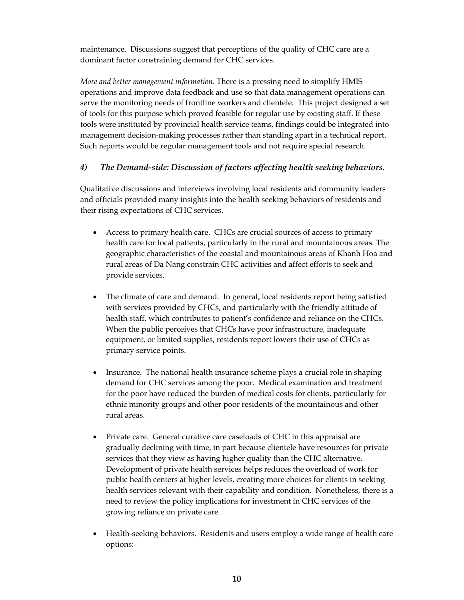maintenance. Discussions suggest that perceptions of the quality of CHC care are a dominant factor constraining demand for CHC services.

*More and better management information*. There is a pressing need to simplify HMIS operations and improve data feedback and use so that data management operations can serve the monitoring needs of frontline workers and clientele. This project designed a set of tools for this purpose which proved feasible for regular use by existing staff. If these tools were instituted by provincial health service teams, findings could be integrated into management decision-making processes rather than standing apart in a technical report. Such reports would be regular management tools and not require special research.

#### *4) The Demand-side: Discussion of factors affecting health seeking behaviors.*

Qualitative discussions and interviews involving local residents and community leaders and officials provided many insights into the health seeking behaviors of residents and their rising expectations of CHC services.

- Access to primary health care. CHCs are crucial sources of access to primary health care for local patients, particularly in the rural and mountainous areas. The geographic characteristics of the coastal and mountainous areas of Khanh Hoa and rural areas of Da Nang constrain CHC activities and affect efforts to seek and provide services.
- The climate of care and demand. In general, local residents report being satisfied with services provided by CHCs, and particularly with the friendly attitude of health staff, which contributes to patient's confidence and reliance on the CHCs. When the public perceives that CHCs have poor infrastructure, inadequate equipment, or limited supplies, residents report lowers their use of CHCs as primary service points.
- Insurance. The national health insurance scheme plays a crucial role in shaping demand for CHC services among the poor. Medical examination and treatment for the poor have reduced the burden of medical costs for clients, particularly for ethnic minority groups and other poor residents of the mountainous and other rural areas.
- Private care. General curative care caseloads of CHC in this appraisal are gradually declining with time, in part because clientele have resources for private services that they view as having higher quality than the CHC alternative. Development of private health services helps reduces the overload of work for public health centers at higher levels, creating more choices for clients in seeking health services relevant with their capability and condition. Nonetheless, there is a need to review the policy implications for investment in CHC services of the growing reliance on private care.
- Health-seeking behaviors. Residents and users employ a wide range of health care options: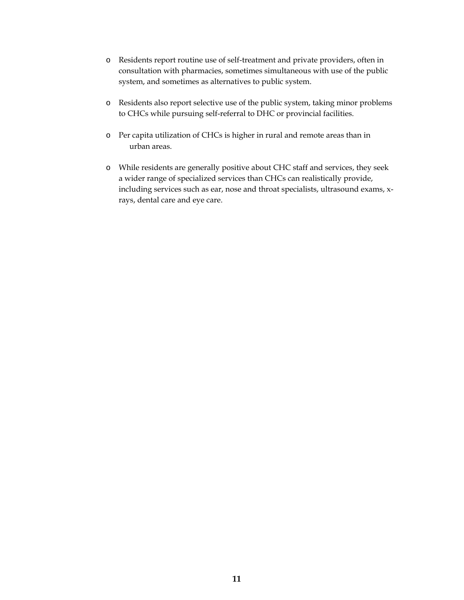- o Residents report routine use of self-treatment and private providers, often in consultation with pharmacies, sometimes simultaneous with use of the public system, and sometimes as alternatives to public system.
- o Residents also report selective use of the public system, taking minor problems to CHCs while pursuing self-referral to DHC or provincial facilities.
- o Per capita utilization of CHCs is higher in rural and remote areas than in urban areas.
- o While residents are generally positive about CHC staff and services, they seek a wider range of specialized services than CHCs can realistically provide, including services such as ear, nose and throat specialists, ultrasound exams, xrays, dental care and eye care.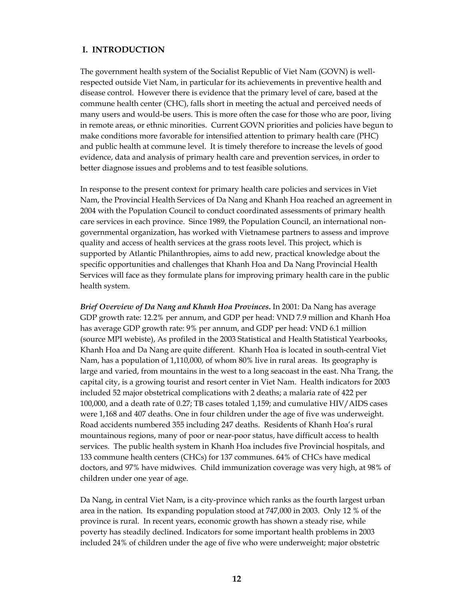#### **I. INTRODUCTION**

The government health system of the Socialist Republic of Viet Nam (GOVN) is wellrespected outside Viet Nam, in particular for its achievements in preventive health and disease control. However there is evidence that the primary level of care, based at the commune health center (CHC), falls short in meeting the actual and perceived needs of many users and would-be users. This is more often the case for those who are poor, living in remote areas, or ethnic minorities. Current GOVN priorities and policies have begun to make conditions more favorable for intensified attention to primary health care (PHC) and public health at commune level. It is timely therefore to increase the levels of good evidence, data and analysis of primary health care and prevention services, in order to better diagnose issues and problems and to test feasible solutions.

In response to the present context for primary health care policies and services in Viet Nam, the Provincial Health Services of Da Nang and Khanh Hoa reached an agreement in 2004 with the Population Council to conduct coordinated assessments of primary health care services in each province. Since 1989, the Population Council, an international nongovernmental organization, has worked with Vietnamese partners to assess and improve quality and access of health services at the grass roots level. This project, which is supported by Atlantic Philanthropies, aims to add new, practical knowledge about the specific opportunities and challenges that Khanh Hoa and Da Nang Provincial Health Services will face as they formulate plans for improving primary health care in the public health system.

*Brief Overview of Da Nang and Khanh Hoa Provinces***.** In 2001: Da Nang has average GDP growth rate: 12.2% per annum, and GDP per head: VND 7.9 million and Khanh Hoa has average GDP growth rate: 9% per annum, and GDP per head: VND 6.1 million (source MPI webiste), As profiled in the 2003 Statistical and Health Statistical Yearbooks, Khanh Hoa and Da Nang are quite different. Khanh Hoa is located in south-central Viet Nam, has a population of 1,110,000, of whom 80% live in rural areas. Its geography is large and varied, from mountains in the west to a long seacoast in the east. Nha Trang, the capital city, is a growing tourist and resort center in Viet Nam. Health indicators for 2003 included 52 major obstetrical complications with 2 deaths; a malaria rate of 422 per 100,000, and a death rate of 0.27; TB cases totaled 1,159; and cumulative HIV/AIDS cases were 1,168 and 407 deaths. One in four children under the age of five was underweight. Road accidents numbered 355 including 247 deaths. Residents of Khanh Hoa's rural mountainous regions, many of poor or near-poor status, have difficult access to health services. The public health system in Khanh Hoa includes five Provincial hospitals, and 133 commune health centers (CHCs) for 137 communes. 64% of CHCs have medical doctors, and 97% have midwives. Child immunization coverage was very high, at 98% of children under one year of age.

Da Nang, in central Viet Nam, is a city-province which ranks as the fourth largest urban area in the nation. Its expanding population stood at 747,000 in 2003. Only 12 % of the province is rural. In recent years, economic growth has shown a steady rise, while poverty has steadily declined. Indicators for some important health problems in 2003 included 24% of children under the age of five who were underweight; major obstetric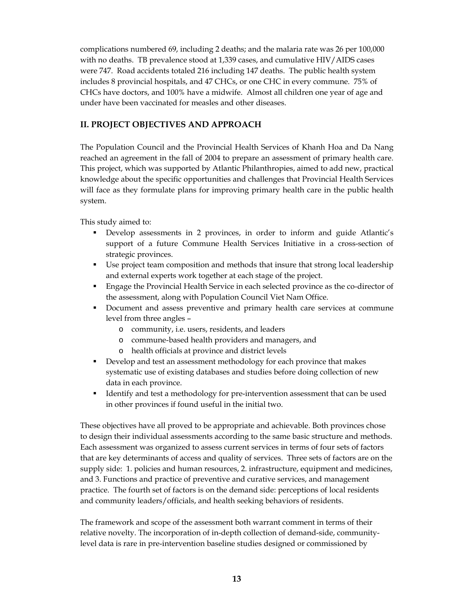complications numbered 69, including 2 deaths; and the malaria rate was 26 per 100,000 with no deaths. TB prevalence stood at 1,339 cases, and cumulative HIV/AIDS cases were 747. Road accidents totaled 216 including 147 deaths. The public health system includes 8 provincial hospitals, and 47 CHCs, or one CHC in every commune. 75% of CHCs have doctors, and 100% have a midwife. Almost all children one year of age and under have been vaccinated for measles and other diseases.

### **II. PROJECT OBJECTIVES AND APPROACH**

The Population Council and the Provincial Health Services of Khanh Hoa and Da Nang reached an agreement in the fall of 2004 to prepare an assessment of primary health care. This project, which was supported by Atlantic Philanthropies, aimed to add new, practical knowledge about the specific opportunities and challenges that Provincial Health Services will face as they formulate plans for improving primary health care in the public health system.

This study aimed to:

- Develop assessments in 2 provinces, in order to inform and guide Atlantic's support of a future Commune Health Services Initiative in a cross-section of strategic provinces.
- Use project team composition and methods that insure that strong local leadership and external experts work together at each stage of the project.
- Engage the Provincial Health Service in each selected province as the co-director of the assessment, along with Population Council Viet Nam Office.
- Document and assess preventive and primary health care services at commune level from three angles –
	- o community, i.e. users, residents, and leaders
	- o commune-based health providers and managers, and
	- o health officials at province and district levels
- Develop and test an assessment methodology for each province that makes systematic use of existing databases and studies before doing collection of new data in each province.
- Identify and test a methodology for pre-intervention assessment that can be used in other provinces if found useful in the initial two.

These objectives have all proved to be appropriate and achievable. Both provinces chose to design their individual assessments according to the same basic structure and methods. Each assessment was organized to assess current services in terms of four sets of factors that are key determinants of access and quality of services. Three sets of factors are on the supply side: 1. policies and human resources, 2. infrastructure, equipment and medicines, and 3. Functions and practice of preventive and curative services, and management practice. The fourth set of factors is on the demand side: perceptions of local residents and community leaders/officials, and health seeking behaviors of residents.

The framework and scope of the assessment both warrant comment in terms of their relative novelty. The incorporation of in-depth collection of demand-side, communitylevel data is rare in pre-intervention baseline studies designed or commissioned by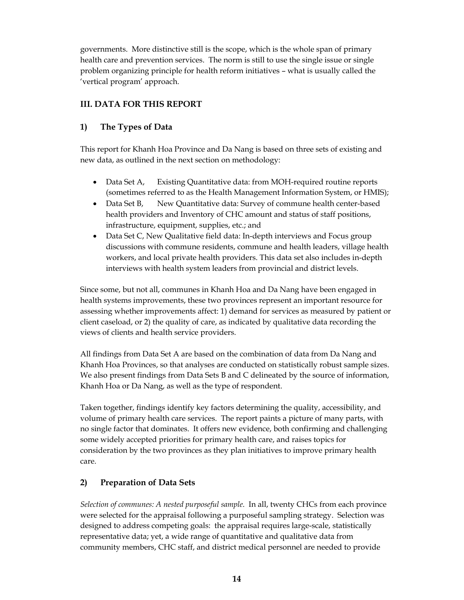governments. More distinctive still is the scope, which is the whole span of primary health care and prevention services. The norm is still to use the single issue or single problem organizing principle for health reform initiatives – what is usually called the 'vertical program' approach.

### **III. DATA FOR THIS REPORT**

### **1) The Types of Data**

This report for Khanh Hoa Province and Da Nang is based on three sets of existing and new data, as outlined in the next section on methodology:

- Data Set A, Existing Quantitative data: from MOH-required routine reports (sometimes referred to as the Health Management Information System, or HMIS);
- Data Set B, New Quantitative data: Survey of commune health center-based health providers and Inventory of CHC amount and status of staff positions, infrastructure, equipment, supplies, etc.; and
- Data Set C, New Qualitative field data: In-depth interviews and Focus group discussions with commune residents, commune and health leaders, village health workers, and local private health providers. This data set also includes in-depth interviews with health system leaders from provincial and district levels.

Since some, but not all, communes in Khanh Hoa and Da Nang have been engaged in health systems improvements, these two provinces represent an important resource for assessing whether improvements affect: 1) demand for services as measured by patient or client caseload, or 2) the quality of care, as indicated by qualitative data recording the views of clients and health service providers.

All findings from Data Set A are based on the combination of data from Da Nang and Khanh Hoa Provinces, so that analyses are conducted on statistically robust sample sizes. We also present findings from Data Sets B and C delineated by the source of information, Khanh Hoa or Da Nang, as well as the type of respondent.

Taken together, findings identify key factors determining the quality, accessibility, and volume of primary health care services. The report paints a picture of many parts, with no single factor that dominates. It offers new evidence, both confirming and challenging some widely accepted priorities for primary health care, and raises topics for consideration by the two provinces as they plan initiatives to improve primary health care.

### **2) Preparation of Data Sets**

*Selection of communes: A nested purposeful sample*. In all, twenty CHCs from each province were selected for the appraisal following a purposeful sampling strategy. Selection was designed to address competing goals: the appraisal requires large-scale, statistically representative data; yet, a wide range of quantitative and qualitative data from community members, CHC staff, and district medical personnel are needed to provide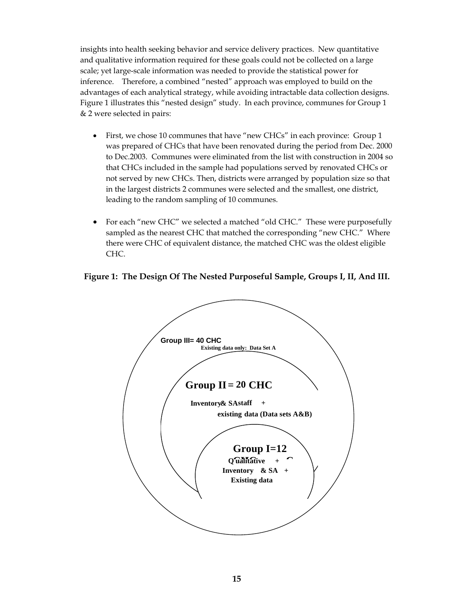insights into health seeking behavior and service delivery practices. New quantitative and qualitative information required for these goals could not be collected on a large scale; yet large-scale information was needed to provide the statistical power for inference. Therefore, a combined "nested" approach was employed to build on the advantages of each analytical strategy, while avoiding intractable data collection designs. Figure 1 illustrates this "nested design" study. In each province, communes for Group 1 & 2 were selected in pairs:

- First, we chose 10 communes that have "new CHCs" in each province: Group 1 was prepared of CHCs that have been renovated during the period from Dec. 2000 to Dec.2003. Communes were eliminated from the list with construction in 2004 so that CHCs included in the sample had populations served by renovated CHCs or not served by new CHCs. Then, districts were arranged by population size so that in the largest districts 2 communes were selected and the smallest, one district, leading to the random sampling of 10 communes.
- For each "new CHC" we selected a matched "old CHC." These were purposefully sampled as the nearest CHC that matched the corresponding "new CHC." Where there were CHC of equivalent distance, the matched CHC was the oldest eligible CHC.

### **Figure 1: The Design Of The Nested Purposeful Sample, Groups I, II, And III.**

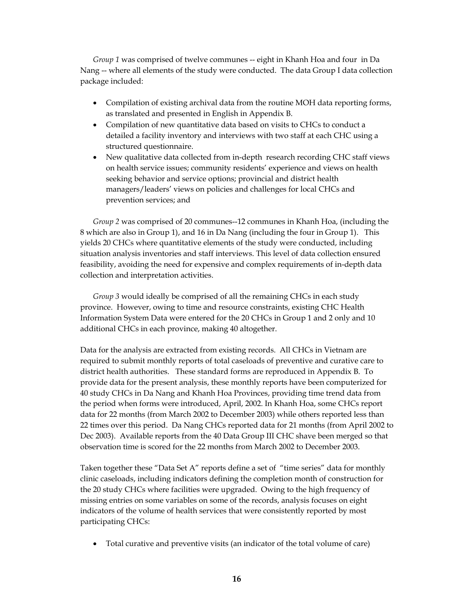*Group 1* was comprised of twelve communes -- eight in Khanh Hoa and four in Da Nang -- where all elements of the study were conducted. The data Group I data collection package included:

- Compilation of existing archival data from the routine MOH data reporting forms, as translated and presented in English in Appendix B.
- Compilation of new quantitative data based on visits to CHCs to conduct a detailed a facility inventory and interviews with two staff at each CHC using a structured questionnaire.
- New qualitative data collected from in-depth research recording CHC staff views on health service issues; community residents' experience and views on health seeking behavior and service options; provincial and district health managers/leaders' views on policies and challenges for local CHCs and prevention services; and

*Group 2* was comprised of 20 communes--12 communes in Khanh Hoa, (including the 8 which are also in Group 1), and 16 in Da Nang (including the four in Group 1). This yields 20 CHCs where quantitative elements of the study were conducted, including situation analysis inventories and staff interviews. This level of data collection ensured feasibility, avoiding the need for expensive and complex requirements of in-depth data collection and interpretation activities.

*Group 3* would ideally be comprised of all the remaining CHCs in each study province. However, owing to time and resource constraints, existing CHC Health Information System Data were entered for the 20 CHCs in Group 1 and 2 only and 10 additional CHCs in each province, making 40 altogether.

Data for the analysis are extracted from existing records. All CHCs in Vietnam are required to submit monthly reports of total caseloads of preventive and curative care to district health authorities. These standard forms are reproduced in Appendix B. To provide data for the present analysis, these monthly reports have been computerized for 40 study CHCs in Da Nang and Khanh Hoa Provinces, providing time trend data from the period when forms were introduced, April, 2002. In Khanh Hoa, some CHCs report data for 22 months (from March 2002 to December 2003) while others reported less than 22 times over this period. Da Nang CHCs reported data for 21 months (from April 2002 to Dec 2003). Available reports from the 40 Data Group III CHC shave been merged so that observation time is scored for the 22 months from March 2002 to December 2003.

Taken together these "Data Set A" reports define a set of "time series" data for monthly clinic caseloads, including indicators defining the completion month of construction for the 20 study CHCs where facilities were upgraded. Owing to the high frequency of missing entries on some variables on some of the records, analysis focuses on eight indicators of the volume of health services that were consistently reported by most participating CHCs:

• Total curative and preventive visits (an indicator of the total volume of care)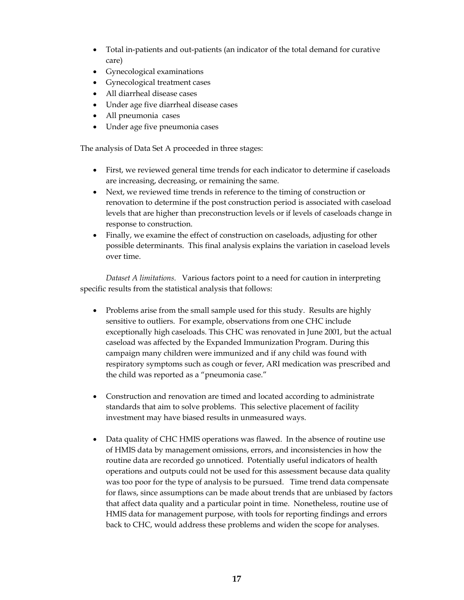- Total in-patients and out-patients (an indicator of the total demand for curative care)
- Gynecological examinations
- Gynecological treatment cases
- All diarrheal disease cases
- Under age five diarrheal disease cases
- All pneumonia cases
- Under age five pneumonia cases

The analysis of Data Set A proceeded in three stages:

- First, we reviewed general time trends for each indicator to determine if caseloads are increasing, decreasing, or remaining the same.
- Next, we reviewed time trends in reference to the timing of construction or renovation to determine if the post construction period is associated with caseload levels that are higher than preconstruction levels or if levels of caseloads change in response to construction.
- Finally, we examine the effect of construction on caseloads, adjusting for other possible determinants. This final analysis explains the variation in caseload levels over time.

*Dataset A limitations.* Various factors point to a need for caution in interpreting specific results from the statistical analysis that follows:

- Problems arise from the small sample used for this study. Results are highly sensitive to outliers. For example, observations from one CHC include exceptionally high caseloads. This CHC was renovated in June 2001, but the actual caseload was affected by the Expanded Immunization Program. During this campaign many children were immunized and if any child was found with respiratory symptoms such as cough or fever, ARI medication was prescribed and the child was reported as a "pneumonia case."
- Construction and renovation are timed and located according to administrate standards that aim to solve problems. This selective placement of facility investment may have biased results in unmeasured ways.
- Data quality of CHC HMIS operations was flawed. In the absence of routine use of HMIS data by management omissions, errors, and inconsistencies in how the routine data are recorded go unnoticed. Potentially useful indicators of health operations and outputs could not be used for this assessment because data quality was too poor for the type of analysis to be pursued. Time trend data compensate for flaws, since assumptions can be made about trends that are unbiased by factors that affect data quality and a particular point in time. Nonetheless, routine use of HMIS data for management purpose, with tools for reporting findings and errors back to CHC, would address these problems and widen the scope for analyses.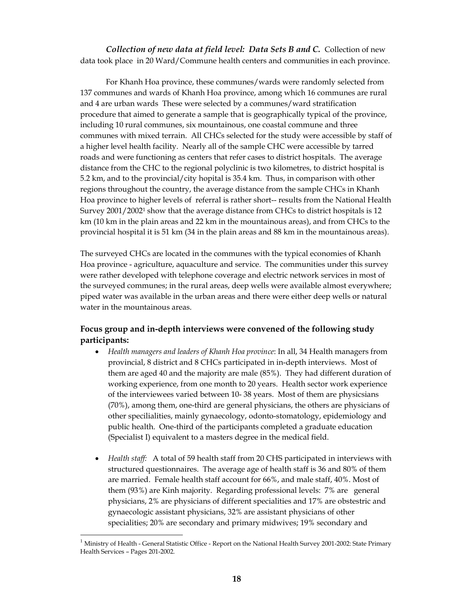*Collection of new data at field level: Data Sets B and C.* Collection of new data took place in 20 Ward/Commune health centers and communities in each province.

For Khanh Hoa province, these communes/wards were randomly selected from 137 communes and wards of Khanh Hoa province, among which 16 communes are rural and 4 are urban wards These were selected by a communes/ward stratification procedure that aimed to generate a sample that is geographically typical of the province, including 10 rural communes, six mountainous, one coastal commune and three communes with mixed terrain. All CHCs selected for the study were accessible by staff of a higher level health facility. Nearly all of the sample CHC were accessible by tarred roads and were functioning as centers that refer cases to district hospitals. The average distance from the CHC to the regional polyclinic is two kilometres, to district hospital is 5.2 km, and to the provincial/city hopital is 35.4 km. Thus, in comparison with other regions throughout the country, the average distance from the sample CHCs in Khanh Hoa province to higher levels of referral is rather short-- results from the National Health Survey 2001/20021 show that the average distance from CHCs to district hospitals is 12 km (10 km in the plain areas and 22 km in the mountainous areas), and from CHCs to the provincial hospital it is 51 km (34 in the plain areas and 88 km in the mountainous areas).

The surveyed CHCs are located in the communes with the typical economies of Khanh Hoa province - agriculture, aquaculture and service. The communities under this survey were rather developed with telephone coverage and electric network services in most of the surveyed communes; in the rural areas, deep wells were available almost everywhere; piped water was available in the urban areas and there were either deep wells or natural water in the mountainous areas.

### **Focus group and in-depth interviews were convened of the following study participants:**

- *Health managers and leaders of Khanh Hoa province*: In all, 34 Health managers from provincial, 8 district and 8 CHCs participated in in-depth interviews. Most of them are aged 40 and the majority are male (85%). They had different duration of working experience, from one month to 20 years. Health sector work experience of the interviewees varied between 10- 38 years. Most of them are physicsians (70%), among them, one-third are general physicians, the others are physicians of other specilialities, mainly gynaecology, odonto-stomatology, epidemiology and public health. One-third of the participants completed a graduate education (Specialist I) equivalent to a masters degree in the medical field.
- *Health staff:* A total of 59 health staff from 20 CHS participated in interviews with structured questionnaires. The average age of health staff is 36 and 80% of them are married. Female health staff account for 66%, and male staff, 40%. Most of them (93%) are Kinh majority. Regarding professional levels: 7% are general physicians, 2% are physicians of different specialities and 17% are obstestric and gynaecologic assistant physicians, 32% are assistant physicians of other specialities; 20% are secondary and primary midwives; 19% secondary and

<sup>&</sup>lt;sup>1</sup> Ministry of Health - General Statistic Office - Report on the National Health Survey 2001-2002: State Primary Health Services – Pages 201-2002.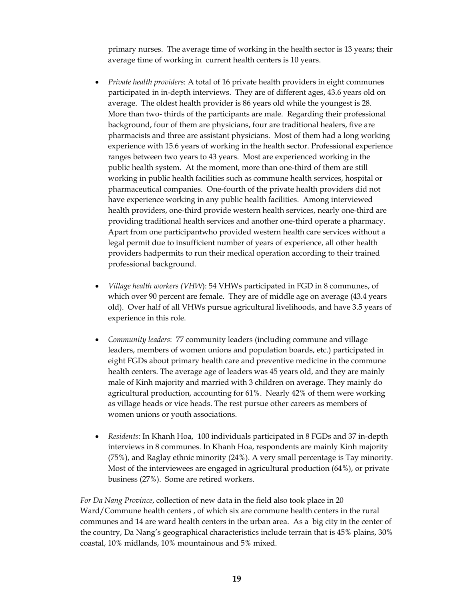primary nurses. The average time of working in the health sector is 13 years; their average time of working in current health centers is 10 years.

- *Private health providers*: A total of 16 private health providers in eight communes participated in in-depth interviews. They are of different ages, 43.6 years old on average. The oldest health provider is 86 years old while the youngest is 28. More than two- thirds of the participants are male. Regarding their professional background, four of them are physicians, four are traditional healers, five are pharmacists and three are assistant physicians. Most of them had a long working experience with 15.6 years of working in the health sector. Professional experience ranges between two years to 43 years. Most are experienced working in the public health system. At the moment, more than one-third of them are still working in public health facilities such as commune health services, hospital or pharmaceutical companies. One-fourth of the private health providers did not have experience working in any public health facilities. Among interviewed health providers, one-third provide western health services, nearly one-third are providing traditional health services and another one-third operate a pharmacy. Apart from one participantwho provided western health care services without a legal permit due to insufficient number of years of experience, all other health providers hadpermits to run their medical operation according to their trained professional background.
- *Village health workers (VHW*): 54 VHWs participated in FGD in 8 communes, of which over 90 percent are female. They are of middle age on average (43.4 years old). Over half of all VHWs pursue agricultural livelihoods, and have 3.5 years of experience in this role.
- *Community leaders*: 77 community leaders (including commune and village leaders, members of women unions and population boards, etc.) participated in eight FGDs about primary health care and preventive medicine in the commune health centers. The average age of leaders was 45 years old, and they are mainly male of Kinh majority and married with 3 children on average. They mainly do agricultural production, accounting for 61%. Nearly 42% of them were working as village heads or vice heads. The rest pursue other careers as members of women unions or youth associations.
- *Residents:* In Khanh Hoa, 100 individuals participated in 8 FGDs and 37 in-depth interviews in 8 communes. In Khanh Hoa, respondents are mainly Kinh majority (75%), and Raglay ethnic minority (24%). A very small percentage is Tay minority. Most of the interviewees are engaged in agricultural production (64%), or private business (27%). Some are retired workers.

*For Da Nang Province*, collection of new data in the field also took place in 20 Ward/Commune health centers , of which six are commune health centers in the rural communes and 14 are ward health centers in the urban area. As a big city in the center of the country, Da Nang's geographical characteristics include terrain that is 45% plains, 30% coastal, 10% midlands, 10% mountainous and 5% mixed.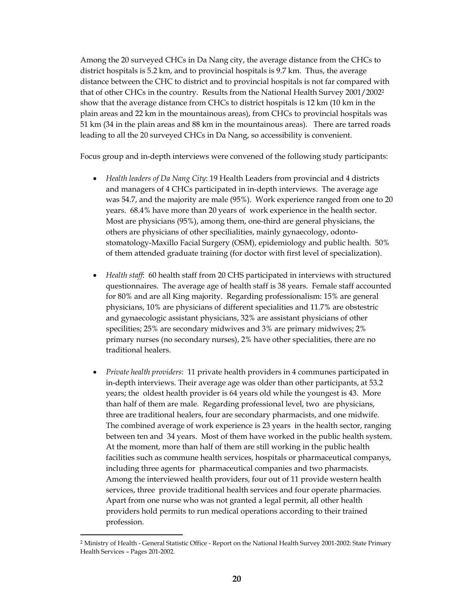Among the 20 surveyed CHCs in Da Nang city, the average distance from the CHCs to district hospitals is 5.2 km, and to provincial hospitals is 9.7 km. Thus, the average distance between the CHC to district and to provincial hospitals is not far compared with that of other CHCs in the country. Results from the National Health Survey 2001/20022 show that the average distance from CHCs to district hospitals is 12 km (10 km in the plain areas and 22 km in the mountainous areas), from CHCs to provincial hospitals was 51 km (34 in the plain areas and 88 km in the mountainous areas). There are tarred roads leading to all the 20 surveyed CHCs in Da Nang, so accessibility is convenient.

Focus group and in-depth interviews were convened of the following study participants:

- *Health leaders of Da Nang City*: 19 Health Leaders from provincial and 4 districts and managers of 4 CHCs participated in in-depth interviews. The average age was 54.7, and the majority are male (95%). Work experience ranged from one to 20 years. 68.4% have more than 20 years of work experience in the health sector. Most are physicians (95%), among them, one-third are general physicians, the others are physicians of other specilialities, mainly gynaecology, odontostomatology-Maxillo Facial Surgery (OSM), epidemiology and public health. 50% of them attended graduate training (for doctor with first level of specialization).
- *Health staff*: 60 health staff from 20 CHS participated in interviews with structured questionnaires. The average age of health staff is 38 years. Female staff accounted for 80% and are all King majority. Regarding professionalism: 15% are general physicians, 10% are physicians of different specialities and 11.7% are obstestric and gynaecologic assistant physicians, 32% are assistant physicians of other specilities; 25% are secondary midwives and 3% are primary midwives; 2% primary nurses (no secondary nurses), 2% have other specialities, there are no traditional healers.
- *Private health providers*: 11 private health providers in 4 communes participated in in-depth interviews. Their average age was older than other participants, at 53.2 years; the oldest health provider is 64 years old while the youngest is 43. More than half of them are male. Regarding professional level, two are physicians, three are traditional healers, four are secondary pharmacists, and one midwife. The combined average of work experience is 23 years in the health sector, ranging between ten and 34 years. Most of them have worked in the public health system. At the moment, more than half of them are still working in the public health facilities such as commune health services, hospitals or pharmaceutical companys, including three agents for pharmaceutical companies and two pharmacists. Among the interviewed health providers, four out of 11 provide western health services, three provide traditional health services and four operate pharmacies. Apart from one nurse who was not granted a legal permit, all other health providers hold permits to run medical operations according to their trained profession.

<sup>&</sup>lt;sup>2</sup> Ministry of Health - General Statistic Office - Report on the National Health Survey 2001-2002: State Primary Health Services – Pages 201-2002.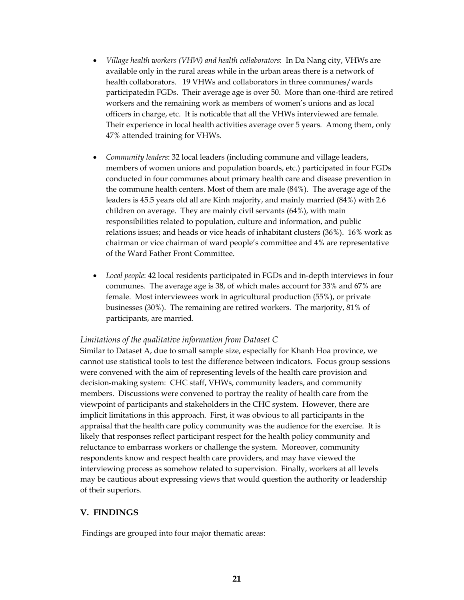- *Village health workers (VHW) and health collaborators*: In Da Nang city, VHWs are available only in the rural areas while in the urban areas there is a network of health collaborators. 19 VHWs and collaborators in three communes/wards participatedin FGDs. Their average age is over 50. More than one-third are retired workers and the remaining work as members of women's unions and as local officers in charge, etc. It is noticable that all the VHWs interviewed are female. Their experience in local health activities average over 5 years. Among them, only 47% attended training for VHWs.
- *Community leaders*: 32 local leaders (including commune and village leaders, members of women unions and population boards, etc.) participated in four FGDs conducted in four communes about primary health care and disease prevention in the commune health centers. Most of them are male (84%). The average age of the leaders is 45.5 years old all are Kinh majority, and mainly married (84%) with 2.6 children on average. They are mainly civil servants (64%), with main responsibilities related to population, culture and information, and public relations issues; and heads or vice heads of inhabitant clusters (36%). 16% work as chairman or vice chairman of ward people's committee and 4% are representative of the Ward Father Front Committee.
- *Local people*: 42 local residents participated in FGDs and in-depth interviews in four communes. The average age is 38, of which males account for 33% and 67% are female. Most interviewees work in agricultural production (55%), or private businesses (30%). The remaining are retired workers. The marjority, 81% of participants, are married.

#### *Limitations of the qualitative information from Dataset C*

Similar to Dataset A, due to small sample size, especially for Khanh Hoa province, we cannot use statistical tools to test the difference between indicators*.* Focus group sessions were convened with the aim of representing levels of the health care provision and decision-making system: CHC staff, VHWs, community leaders, and community members. Discussions were convened to portray the reality of health care from the viewpoint of participants and stakeholders in the CHC system. However, there are implicit limitations in this approach. First, it was obvious to all participants in the appraisal that the health care policy community was the audience for the exercise. It is likely that responses reflect participant respect for the health policy community and reluctance to embarrass workers or challenge the system. Moreover, community respondents know and respect health care providers, and may have viewed the interviewing process as somehow related to supervision. Finally, workers at all levels may be cautious about expressing views that would question the authority or leadership of their superiors.

#### **V. FINDINGS**

Findings are grouped into four major thematic areas: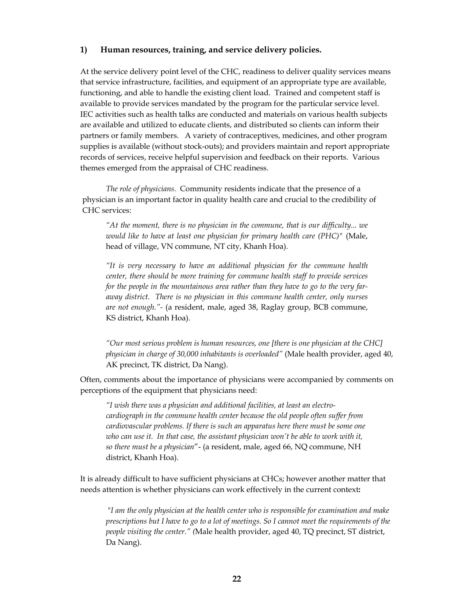#### **1) Human resources, training, and service delivery policies.**

At the service delivery point level of the CHC, readiness to deliver quality services means that service infrastructure, facilities, and equipment of an appropriate type are available, functioning, and able to handle the existing client load. Trained and competent staff is available to provide services mandated by the program for the particular service level. IEC activities such as health talks are conducted and materials on various health subjects are available and utilized to educate clients, and distributed so clients can inform their partners or family members. A variety of contraceptives, medicines, and other program supplies is available (without stock-outs); and providers maintain and report appropriate records of services, receive helpful supervision and feedback on their reports. Various themes emerged from the appraisal of CHC readiness.

*The role of physicians.* Community residents indicate that the presence of a physician is an important factor in quality health care and crucial to the credibility of CHC services:

*"At the moment, there is no physician in the commune, that is our difficulty... we would like to have at least one physician for primary health care (PHC)"* (Male, head of village, VN commune, NT city, Khanh Hoa).

*"It is very necessary to have an additional physician for the commune health center, there should be more training for commune health staff to provide services for the people in the mountainous area rather than they have to go to the very faraway district. There is no physician in this commune health center, only nurses are not enough."-* (a resident, male, aged 38, Raglay group, BCB commune, KS district, Khanh Hoa)*.* 

*"Our most serious problem is human resources, one [there is one physician at the CHC] physician in charge of 30,000 inhabitants is overloaded"* (Male health provider, aged 40, AK precinct, TK district, Da Nang).

Often, comments about the importance of physicians were accompanied by comments on perceptions of the equipment that physicians need:

*"I wish there was a physician and additional facilities, at least an electrocardiograph in the commune health center because the old people often suffer from cardiovascular problems. If there is such an apparatus here there must be some one who can use it. In that case, the assistant physician won't be able to work with it, so there must be a physician*"- (a resident, male, aged 66, NQ commune, NH district, Khanh Hoa).

It is already difficult to have sufficient physicians at CHCs; however another matter that needs attention is whether physicians can work effectively in the current context**:** 

 "*I am the only physician at the health center who is responsible for examination and make prescriptions but I have to go to a lot of meetings. So I cannot meet the requirements of the people visiting the center." (*Male health provider, aged 40, TQ precinct, ST district, Da Nang).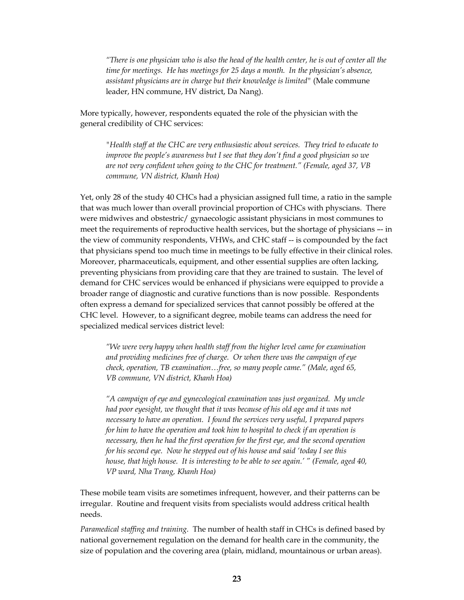*"There is one physician who is also the head of the health center, he is out of center all the time for meetings. He has meetings for 25 days a month. In the physician's absence, assistant physicians are in charge but their knowledge is limited"* (Male commune leader, HN commune, HV district, Da Nang).

More typically, however, respondents equated the role of the physician with the general credibility of CHC services:

*"Health staff at the CHC are very enthusiastic about services. They tried to educate to improve the people's awareness but I see that they don't find a good physician so we are not very confident when going to the CHC for treatment." (Female, aged 37, VB commune, VN district, Khanh Hoa)* 

Yet, only 28 of the study 40 CHCs had a physician assigned full time, a ratio in the sample that was much lower than overall provincial proportion of CHCs with physcians. There were midwives and obstestric/ gynaecologic assistant physicians in most communes to meet the requirements of reproductive health services, but the shortage of physicians –- in the view of community respondents, VHWs, and CHC staff -- is compounded by the fact that physicians spend too much time in meetings to be fully effective in their clinical roles. Moreover, pharmaceuticals, equipment, and other essential supplies are often lacking, preventing physicians from providing care that they are trained to sustain. The level of demand for CHC services would be enhanced if physicians were equipped to provide a broader range of diagnostic and curative functions than is now possible. Respondents often express a demand for specialized services that cannot possibly be offered at the CHC level. However, to a significant degree, mobile teams can address the need for specialized medical services district level:

*"We were very happy when health staff from the higher level came for examination and providing medicines free of charge. Or when there was the campaign of eye check, operation, TB examination…free, so many people came." (Male, aged 65, VB commune, VN district, Khanh Hoa)* 

*"A campaign of eye and gynecological examination was just organized. My uncle had poor eyesight, we thought that it was because of his old age and it was not necessary to have an operation. I found the services very useful, I prepared papers for him to have the operation and took him to hospital to check if an operation is necessary, then he had the first operation for the first eye, and the second operation for his second eye. Now he stepped out of his house and said 'today I see this house, that high house. It is interesting to be able to see again.' " (Female, aged 40, VP ward, Nha Trang, Khanh Hoa)* 

These mobile team visits are sometimes infrequent, however, and their patterns can be irregular. Routine and frequent visits from specialists would address critical health needs.

*Paramedical staffing and training.* The number of health staff in CHCs is defined based by national governement regulation on the demand for health care in the community, the size of population and the covering area (plain, midland, mountainous or urban areas).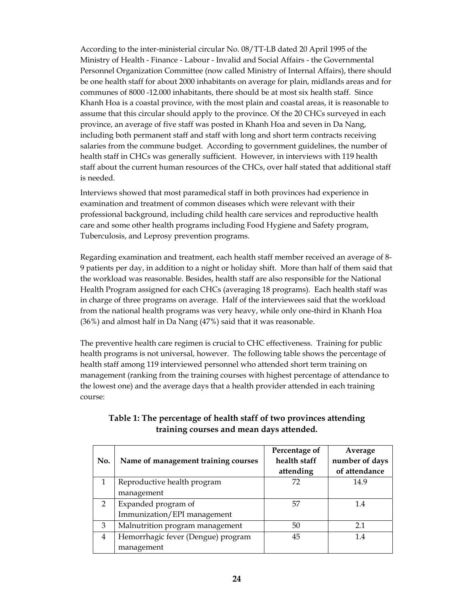According to the inter-ministerial circular No. 08/TT-LB dated 20 April 1995 of the Ministry of Health - Finance - Labour - Invalid and Social Affairs - the Governmental Personnel Organization Committee (now called Ministry of Internal Affairs), there should be one health staff for about 2000 inhabitants on average for plain, midlands areas and for communes of 8000 -12.000 inhabitants, there should be at most six health staff. Since Khanh Hoa is a coastal province, with the most plain and coastal areas, it is reasonable to assume that this circular should apply to the province. Of the 20 CHCs surveyed in each province, an average of five staff was posted in Khanh Hoa and seven in Da Nang, including both permanent staff and staff with long and short term contracts receiving salaries from the commune budget. According to government guidelines, the number of health staff in CHCs was generally sufficient. However, in interviews with 119 health staff about the current human resources of the CHCs, over half stated that additional staff is needed.

Interviews showed that most paramedical staff in both provinces had experience in examination and treatment of common diseases which were relevant with their professional background, including child health care services and reproductive health care and some other health programs including Food Hygiene and Safety program, Tuberculosis, and Leprosy prevention programs.

Regarding examination and treatment, each health staff member received an average of 8- 9 patients per day, in addition to a night or holiday shift. More than half of them said that the workload was reasonable. Besides, health staff are also responsible for the National Health Program assigned for each CHCs (averaging 18 programs). Each health staff was in charge of three programs on average. Half of the interviewees said that the workload from the national health programs was very heavy, while only one-third in Khanh Hoa (36%) and almost half in Da Nang (47%) said that it was reasonable.

The preventive health care regimen is crucial to CHC effectiveness. Training for public health programs is not universal, however. The following table shows the percentage of health staff among 119 interviewed personnel who attended short term training on management (ranking from the training courses with highest percentage of attendance to the lowest one) and the average days that a health provider attended in each training course:

| No.           | Name of management training courses | Percentage of<br>health staff<br>attending | Average<br>number of days<br>of attendance |
|---------------|-------------------------------------|--------------------------------------------|--------------------------------------------|
|               | Reproductive health program         | 72                                         | 14.9                                       |
|               | management                          |                                            |                                            |
| $\mathcal{P}$ | Expanded program of                 | 57                                         | 1.4                                        |
|               | Immunization/EPI management         |                                            |                                            |
| 3             | Malnutrition program management     | 50                                         | 2.1                                        |
| 4             | Hemorrhagic fever (Dengue) program  | 45                                         | 1.4                                        |
|               | management                          |                                            |                                            |

### **Table 1: The percentage of health staff of two provinces attending training courses and mean days attended.**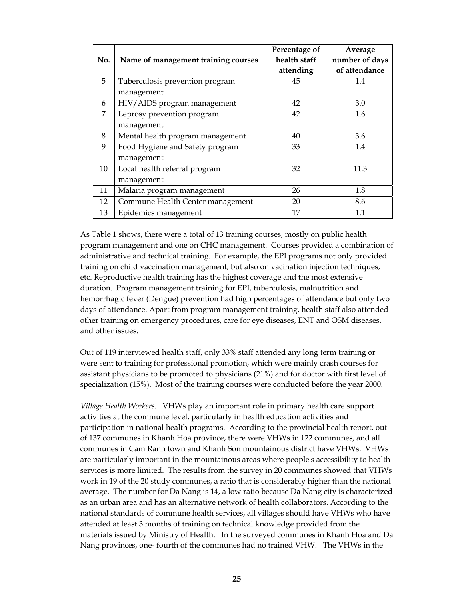|     |                                     | Percentage of | Average        |
|-----|-------------------------------------|---------------|----------------|
| No. | Name of management training courses | health staff  | number of days |
|     |                                     | attending     | of attendance  |
| 5   | Tuberculosis prevention program     | 45            | 1.4            |
|     | management                          |               |                |
| 6   | HIV/AIDS program management         | 42            | 3.0            |
| 7   | Leprosy prevention program          | 42            | 1.6            |
|     | management                          |               |                |
| 8   | Mental health program management    | 40            | 3.6            |
| 9   | Food Hygiene and Safety program     | 33            | 1.4            |
|     | management                          |               |                |
| 10  | Local health referral program       | 32            | 11.3           |
|     | management                          |               |                |
| 11  | Malaria program management          | 26            | 1.8            |
| 12  | Commune Health Center management    | 20            | 8.6            |
| 13  | Epidemics management                | 17            | 1.1            |

As Table 1 shows, there were a total of 13 training courses, mostly on public health program management and one on CHC management. Courses provided a combination of administrative and technical training. For example, the EPI programs not only provided training on child vaccination management, but also on vacination injection techniques, etc. Reproductive health training has the highest coverage and the most extensive duration. Program management training for EPI, tuberculosis, malnutrition and hemorrhagic fever (Dengue) prevention had high percentages of attendance but only two days of attendance. Apart from program management training, health staff also attended other training on emergency procedures, care for eye diseases, ENT and OSM diseases, and other issues.

Out of 119 interviewed health staff, only 33% staff attended any long term training or were sent to training for professional promotion, which were mainly crash courses for assistant physicians to be promoted to physicians (21%) and for doctor with first level of specialization (15%). Most of the training courses were conducted before the year 2000.

*Village Health Workers.* VHWs play an important role in primary health care support activities at the commune level, particularly in health education activities and participation in national health programs. According to the provincial health report, out of 137 communes in Khanh Hoa province, there were VHWs in 122 communes, and all communes in Cam Ranh town and Khanh Son mountainous district have VHWs. VHWs are particularly important in the mountainous areas where people's accessibility to health services is more limited. The results from the survey in 20 communes showed that VHWs work in 19 of the 20 study communes, a ratio that is considerably higher than the national average. The number for Da Nang is 14, a low ratio because Da Nang city is characterized as an urban area and has an alternative network of health collaborators. According to the national standards of commune health services, all villages should have VHWs who have attended at least 3 months of training on technical knowledge provided from the materials issued by Ministry of Health. In the surveyed communes in Khanh Hoa and Da Nang provinces, one- fourth of the communes had no trained VHW. The VHWs in the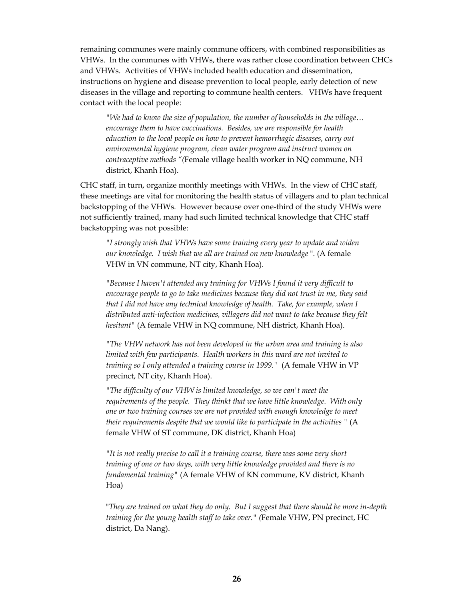remaining communes were mainly commune officers, with combined responsibilities as VHWs. In the communes with VHWs, there was rather close coordination between CHCs and VHWs. Activities of VHWs included health education and dissemination, instructions on hygiene and disease prevention to local people, early detection of new diseases in the village and reporting to commune health centers. VHWs have frequent contact with the local people:

*"We had to know the size of population, the number of households in the village… encourage them to have vaccinations. Besides, we are responsible for health education to the local people on how to prevent hemorrhagic diseases, carry out environmental hygiene program, clean water program and instruct women on contraceptive methods "(*Female village health worker in NQ commune, NH district, Khanh Hoa).

CHC staff, in turn, organize monthly meetings with VHWs. In the view of CHC staff, these meetings are vital for monitoring the health status of villagers and to plan technical backstopping of the VHWs. However because over one-third of the study VHWs were not sufficiently trained, many had such limited technical knowledge that CHC staff backstopping was not possible:

*"I strongly wish that VHWs have some training every year to update and widen our knowledge. I wish that we all are trained on new knowledge* ". (A female VHW in VN commune, NT city, Khanh Hoa).

*"Because I haven't attended any training for VHWs I found it very difficult to encourage people to go to take medicines because they did not trust in me, they said that I did not have any technical knowledge of health. Take, for example, when I distributed anti-infection medicines, villagers did not want to take because they felt hesitant"* (A female VHW in NQ commune, NH district, Khanh Hoa).

*"The VHW network has not been developed in the urban area and training is also limited with few participants. Health workers in this ward are not invited to training so I only attended a training course in 1999."* (A female VHW in VP precinct, NT city, Khanh Hoa).

*"The difficulty of our VHW is limited knowledge, so we can't meet the requirements of the people. They thinkt that we have little knowledge. With only one or two training courses we are not provided with enough knowledge to meet their requirements despite that we would like to participate in the activities "* (A female VHW of ST commune, DK district, Khanh Hoa)

*"It is not really precise to call it a training course, there was some very short training of one or two days, with very little knowledge provided and there is no fundamental training"* (A female VHW of KN commune, KV district, Khanh Hoa)

"*They are trained on what they do only. But I suggest that there should be more in-depth training for the young health staff to take over." (*Female VHW, PN precinct, HC district, Da Nang).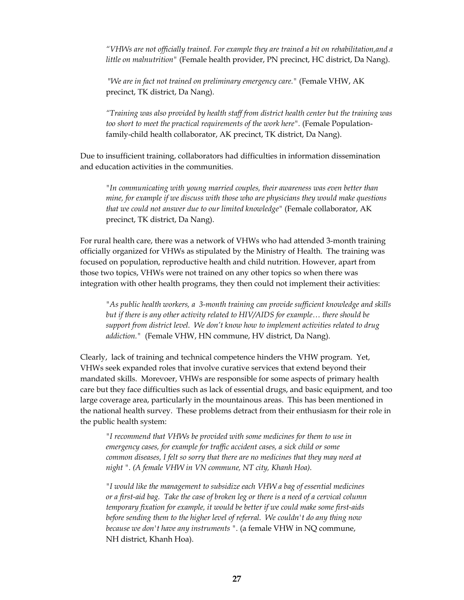*"VHWs are not officially trained. For example they are trained a bit on rehabilitation,and a little on malnutrition"* (Female health provider, PN precinct, HC district, Da Nang).

 "*We are in fact not trained on preliminary emergency care."* (Female VHW, AK precinct, TK district, Da Nang).

*"Training was also provided by health staff from district health center but the training was too short to meet the practical requirements of the work here".* (Female Populationfamily-child health collaborator, AK precinct, TK district, Da Nang).

Due to insufficient training, collaborators had difficulties in information dissemination and education activities in the communities.

*"In communicating with young married couples, their awareness was even better than mine, for example if we discuss with those who are physicians they would make questions that we could not answer due to our limited knowledge"* (Female collaborator, AK precinct, TK district, Da Nang).

For rural health care, there was a network of VHWs who had attended 3-month training officially organized for VHWs as stipulated by the Ministry of Health. The training was focused on population, reproductive health and child nutrition. However, apart from those two topics, VHWs were not trained on any other topics so when there was integration with other health programs, they then could not implement their activities:

 *"As public health workers, a 3-month training can provide sufficient knowledge and skills but if there is any other activity related to HIV/AIDS for example… there should be support from district level. We don't know how to implement activities related to drug addiction."* (Female VHW, HN commune, HV district, Da Nang).

Clearly, lack of training and technical competence hinders the VHW program. Yet, VHWs seek expanded roles that involve curative services that extend beyond their mandated skills. Morevoer, VHWs are responsible for some aspects of primary health care but they face difficulties such as lack of essential drugs, and basic equipment, and too large coverage area, particularly in the mountainous areas. This has been mentioned in the national health survey. These problems detract from their enthusiasm for their role in the public health system:

*"I recommend that VHWs be provided with some medicines for them to use in emergency cases, for example for traffic accident cases, a sick child or some common diseases, I felt so sorry that there are no medicines that they may need at night ". (A female VHW in VN commune, NT city, Khanh Hoa).* 

*"I would like the management to subsidize each VHW a bag of essential medicines or a first-aid bag. Take the case of broken leg or there is a need of a cervical column temporary fixation for example, it would be better if we could make some first-aids before sending them to the higher level of referral. We couldn't do any thing now because we don't have any instruments ".* (a female VHW in NQ commune, NH district, Khanh Hoa).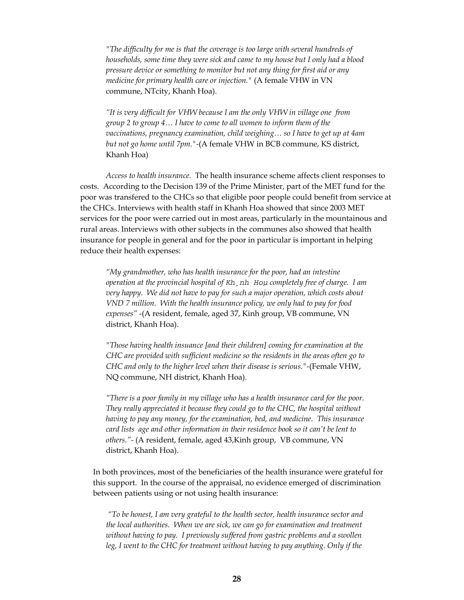*"The difficulty for me is that the coverage is too large with several hundreds of households, some time they were sick and came to my house but I only had a blood pressure device or something to monitor but not any thing for first aid or any medicine for primary health care or injection."* (A female VHW in VN commune, NTcity, Khanh Hoa).

*"It is very difficult for VHW because I am the only VHW in village one from group 2 to group 4… I have to come to all women to inform them of the vaccinations, pregnancy examination, child weighing… so I have to get up at 4am but not go home until 7pm."-*(A female VHW in BCB commune, KS district, Khanh Hoa)

 *Access to health insurance.* The health insurance scheme affects client responses to costs. According to the Decision 139 of the Prime Minister, part of the MET fund for the poor was transfered to the CHCs so that eligible poor people could benefit from service at the CHCs. Interviews with health staff in Khanh Hoa showed that since 2003 MET services for the poor were carried out in most areas, particularly in the mountainous and rural areas. Interviews with other subjects in the communes also showed that health insurance for people in general and for the poor in particular is important in helping reduce their health expenses:

*"My grandmother, who has health insurance for the poor, had an intestine operation at the provincial hospital of Kh¸nh Hoµ completely free of charge. I am very happy. We did not have to pay for such a major operation, which costs about VND 7 million. With the health insurance policy, we only had to pay for food expenses"* -(A resident, female, aged 37, Kinh group, VB commune, VN district, Khanh Hoa).

*"Those having health insuance [and their children] coming for examination at the CHC are provided with sufficient medicine so the residents in the areas often go to CHC and only to the higher level when their disease is serious."-*(Female VHW, NQ commune, NH district, Khanh Hoa).

*"There is a poor family in my village who has a health insurance card for the poor. They really appreciated it because they could go to the CHC, the hospital without having to pay any money, for the examination, bed, and medicine. This insurance card lists age and other information in their residence book so it can't be lent to others."-* (A resident, female, aged 43,Kinh group, VB commune, VN district, Khanh Hoa).

In both provinces, most of the beneficiaries of the health insurance were grateful for this support. In the course of the appraisal, no evidence emerged of discrimination between patients using or not using health insurance:

 *"To be honest, I am very grateful to the health sector, health insurance sector and the local authorities. When we are sick, we can go for examination and treatment without having to pay. I previously suffered from gastric problems and a swollen leg, I went to the CHC for treatment without having to pay anything. Only if the*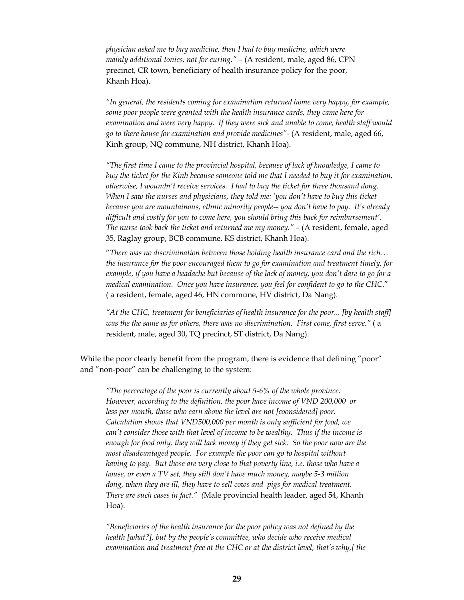*physician asked me to buy medicine, then I had to buy medicine, which were mainly additional tonics, not for curing." - (A resident, male, aged 86, CPN* precinct, CR town, beneficiary of health insurance policy for the poor, Khanh Hoa).

*"In general, the residents coming for examination returned home very happy, for example, some poor people were granted with the health insurance cards, they came here for examination and were very happy. If they were sick and unable to come, health staff would go to there house for examination and provide medicines"-* (A resident, male, aged 66, Kinh group, NQ commune, NH district, Khanh Hoa).

*"The first time I came to the provincial hospital, because of lack of knowledge, I came to buy the ticket for the Kinh because someone told me that I needed to buy it for examination, otherwise, I woundn't receive services. I had to buy the ticket for three thousand dong. When I saw the nurses and physicians, they told me: 'you don't have to buy this ticket because you are mountainous, ethnic minority people-- you don't have to pay. It's already difficult and costly for you to come here, you should bring this back for reimbursement'. The nurse took back the ticket and returned me my money." – (A resident, female, aged* 35, Raglay group, BCB commune, KS district, Khanh Hoa).

"*There was no discrimination between those holding health insurance card and the rich… the insurance for the poor encouraged them to go for examination and treatment timely, for example, if you have a headache but because of the lack of money, you don't dare to go for a medical examination. Once you have insurance, you feel for confident to go to the CHC*." ( a resident, female, aged 46, HN commune, HV district, Da Nang).

*"At the CHC, treatment for beneficiaries of health insurance for the poor... [by health staff] was the the same as for others, there was no discrimination. First come, first serve."* ( a resident, male, aged 30, TQ precinct, ST district, Da Nang).

While the poor clearly benefit from the program, there is evidence that defining "poor" and "non-poor" can be challenging to the system:

*"The percentage of the poor is currently about 5-6% of the whole province. However, according to the definition, the poor have income of VND 200,000 or less per month, those who earn above the level are not [coonsidered] poor. Calculation shows that VND500,000 per month is only sufficient for food, we can't consider those with that level of income to be wealthy. Thus if the income is enough for food only, they will lack money if they get sick. So the poor now are the most disadvantaged people. For example the poor can go to hospital without having to pay. But those are very close to that poverty line, i.e. those who have a house, or even a TV set, they still don't have much money, maybe 5-3 million dong, when they are ill, they have to sell cows and pigs for medical treatment. There are such cases in fact." (*Male provincial health leader, aged 54, Khanh Hoa).

*"Beneficiaries of the health insurance for the poor policy was not defined by the health [what?], but by the people's committee, who decide who receive medical examination and treatment free at the CHC or at the district level, that's why,[ the*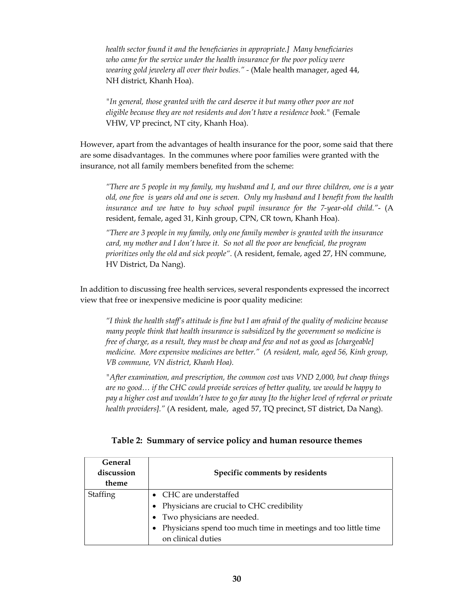*health sector found it and the beneficiaries in appropriate.] Many beneficiaries who came for the service under the health insurance for the poor policy were wearing gold jewelery all over their bodies." -* (Male health manager, aged 44, NH district, Khanh Hoa).

*"In general, those granted with the card deserve it but many other poor are not eligible because they are not residents and don't have a residence book."* (Female VHW, VP precinct, NT city, Khanh Hoa).

 However, apart from the advantages of health insurance for the poor, some said that there are some disadvantages. In the communes where poor families were granted with the insurance, not all family members benefited from the scheme:

*"There are 5 people in my family, my husband and I, and our three children, one is a year old, one five is years old and one is seven. Only my husband and I benefit from the health insurance and we have to buy school pupil insurance for the 7-year-old child."*- (A resident, female, aged 31, Kinh group, CPN, CR town, Khanh Hoa).

*"There are 3 people in my family, only one family member is granted with the insurance card, my mother and I don't have it. So not all the poor are beneficial, the program prioritizes only the old and sick people".* (A resident, female, aged 27, HN commune, HV District, Da Nang).

In addition to discussing free health services, several respondents expressed the incorrect view that free or inexpensive medicine is poor quality medicine:

*"I think the health staff's attitude is fine but I am afraid of the quality of medicine because many people think that health insurance is subsidized by the government so medicine is free of charge, as a result, they must be cheap and few and not as good as [chargeable] medicine. More expensive medicines are better." (A resident, male, aged 56, Kinh group, VB commune, VN district, Khanh Hoa).* 

*"After examination, and prescription, the common cost was VND 2,000, but cheap things are no good… if the CHC could provide services of better quality, we would be happy to pay a higher cost and wouldn't have to go far away [to the higher level of referral or private health providers]."* (A resident, male, aged 57, TQ precinct, ST district, Da Nang).

| General<br>discussion<br>theme | Specific comments by residents                                   |  |
|--------------------------------|------------------------------------------------------------------|--|
| Staffing                       | • CHC are understaffed                                           |  |
|                                | • Physicians are crucial to CHC credibility                      |  |
|                                | • Two physicians are needed.                                     |  |
|                                | • Physicians spend too much time in meetings and too little time |  |
|                                | on clinical duties                                               |  |

**Table 2: Summary of service policy and human resource themes**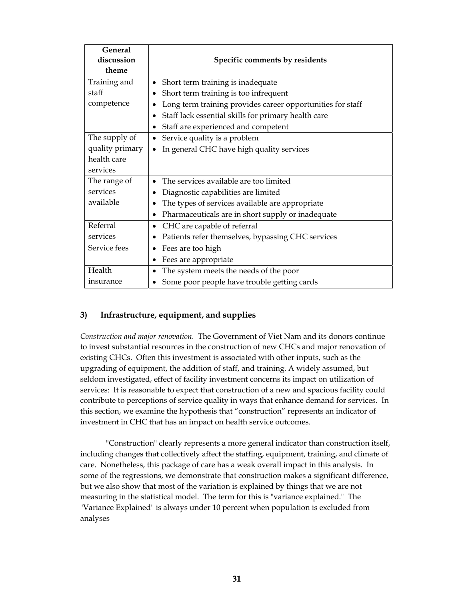| <b>General</b>  |                                                            |  |
|-----------------|------------------------------------------------------------|--|
| discussion      | Specific comments by residents                             |  |
| theme           |                                                            |  |
| Training and    | Short term training is inadequate<br>$\bullet$             |  |
| staff           | Short term training is too infrequent                      |  |
| competence      | Long term training provides career opportunities for staff |  |
|                 | Staff lack essential skills for primary health care        |  |
|                 | Staff are experienced and competent                        |  |
| The supply of   | Service quality is a problem<br>$\bullet$                  |  |
| quality primary | In general CHC have high quality services                  |  |
| health care     |                                                            |  |
| services        |                                                            |  |
| The range of    | The services available are too limited                     |  |
| services        | Diagnostic capabilities are limited                        |  |
| available       | The types of services available are appropriate            |  |
|                 | Pharmaceuticals are in short supply or inadequate          |  |
| Referral        | CHC are capable of referral<br>$\bullet$                   |  |
| services        | Patients refer themselves, bypassing CHC services          |  |
| Service fees    | Fees are too high<br>٠                                     |  |
|                 | Fees are appropriate                                       |  |
| Health          | The system meets the needs of the poor                     |  |
| insurance       | Some poor people have trouble getting cards                |  |

### **3) Infrastructure, equipment, and supplies**

*Construction and major renovation.* The Government of Viet Nam and its donors continue to invest substantial resources in the construction of new CHCs and major renovation of existing CHCs. Often this investment is associated with other inputs, such as the upgrading of equipment, the addition of staff, and training. A widely assumed, but seldom investigated, effect of facility investment concerns its impact on utilization of services: It is reasonable to expect that construction of a new and spacious facility could contribute to perceptions of service quality in ways that enhance demand for services. In this section, we examine the hypothesis that "construction" represents an indicator of investment in CHC that has an impact on health service outcomes.

"Construction" clearly represents a more general indicator than construction itself, including changes that collectively affect the staffing, equipment, training, and climate of care. Nonetheless, this package of care has a weak overall impact in this analysis. In some of the regressions, we demonstrate that construction makes a significant difference, but we also show that most of the variation is explained by things that we are not measuring in the statistical model. The term for this is "variance explained." The "Variance Explained" is always under 10 percent when population is excluded from analyses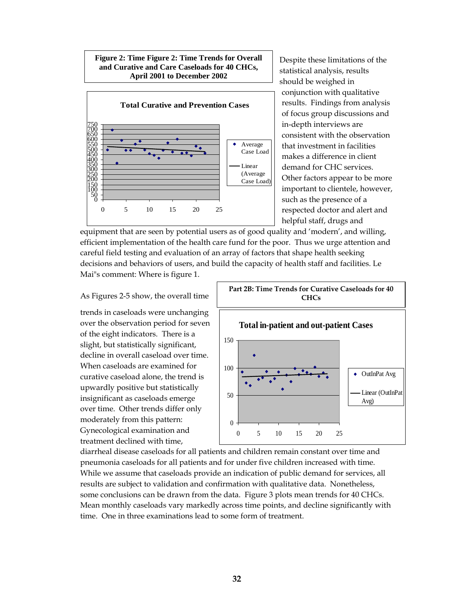#### **Figure 2: Time Figure 2: Time Trends for Overall and Curative and Care Caseloads for 40 CHCs, April 2001 to December 2002**



Despite these limitations of the statistical analysis, results should be weighed in conjunction with qualitative results. Findings from analysis of focus group discussions and in-depth interviews are consistent with the observation that investment in facilities makes a difference in client demand for CHC services. Other factors appear to be more important to clientele, however, such as the presence of a respected doctor and alert and helpful staff, drugs and

equipment that are seen by potential users as of good quality and 'modern', and willing, efficient implementation of the health care fund for the poor. Thus we urge attention and careful field testing and evaluation of an array of factors that shape health seeking decisions and behaviors of users, and build the capacity of health staff and facilities. Le Mai"s comment: Where is figure 1.

#### As Figures 2-5 show, the overall time

trends in caseloads were unchanging over the observation period for seven of the eight indicators. There is a slight, but statistically significant, decline in overall caseload over time. When caseloads are examined for curative caseload alone, the trend is upwardly positive but statistically insignificant as caseloads emerge over time. Other trends differ only moderately from this pattern: Gynecological examination and treatment declined with time,



diarrheal disease caseloads for all patients and children remain constant over time and pneumonia caseloads for all patients and for under five children increased with time. While we assume that caseloads provide an indication of public demand for services, all results are subject to validation and confirmation with qualitative data. Nonetheless, some conclusions can be drawn from the data. Figure 3 plots mean trends for 40 CHCs. Mean monthly caseloads vary markedly across time points, and decline significantly with time. One in three examinations lead to some form of treatment.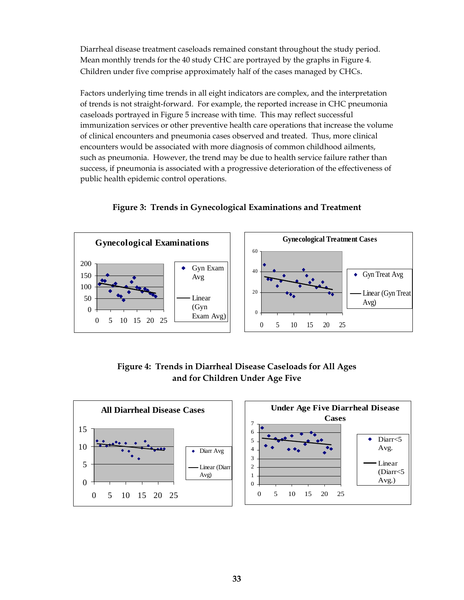Diarrheal disease treatment caseloads remained constant throughout the study period. Mean monthly trends for the 40 study CHC are portrayed by the graphs in Figure 4. Children under five comprise approximately half of the cases managed by CHCs.

Factors underlying time trends in all eight indicators are complex, and the interpretation of trends is not straight-forward. For example, the reported increase in CHC pneumonia caseloads portrayed in Figure 5 increase with time. This may reflect successful immunization services or other preventive health care operations that increase the volume of clinical encounters and pneumonia cases observed and treated. Thus, more clinical encounters would be associated with more diagnosis of common childhood ailments, such as pneumonia. However, the trend may be due to health service failure rather than success, if pneumonia is associated with a progressive deterioration of the effectiveness of public health epidemic control operations.

**Gynecological Treatment Cases Gynecological Examinations** 60 200 Gyn Exam 40 Gyn Treat Avg  $\ddot{\bullet}$ 150 Avg 100 20 Linear (Gyn Treat 50 Linear Avg) (Gyn  $\theta$  $\mathbf{0}$ Exam Avg) 0 5 10 15 20 25 0 5 10 15 20 25

**Figure 3: Trends in Gynecological Examinations and Treatment** 

**Figure 4: Trends in Diarrheal Disease Caseloads for All Ages and for Children Under Age Five** 

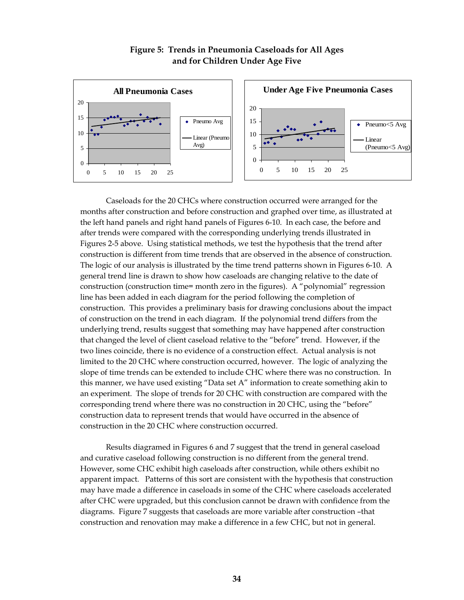

### **Figure 5: Trends in Pneumonia Caseloads for All Ages and for Children Under Age Five**

Caseloads for the 20 CHCs where construction occurred were arranged for the months after construction and before construction and graphed over time, as illustrated at the left hand panels and right hand panels of Figures 6-10. In each case, the before and after trends were compared with the corresponding underlying trends illustrated in Figures 2-5 above. Using statistical methods, we test the hypothesis that the trend after construction is different from time trends that are observed in the absence of construction. The logic of our analysis is illustrated by the time trend patterns shown in Figures 6-10. A general trend line is drawn to show how caseloads are changing relative to the date of construction (construction time= month zero in the figures). A "polynomial" regression line has been added in each diagram for the period following the completion of construction. This provides a preliminary basis for drawing conclusions about the impact of construction on the trend in each diagram. If the polynomial trend differs from the underlying trend, results suggest that something may have happened after construction that changed the level of client caseload relative to the "before" trend. However, if the two lines coincide, there is no evidence of a construction effect. Actual analysis is not limited to the 20 CHC where construction occurred, however. The logic of analyzing the slope of time trends can be extended to include CHC where there was no construction. In this manner, we have used existing "Data set A" information to create something akin to an experiment. The slope of trends for 20 CHC with construction are compared with the corresponding trend where there was no construction in 20 CHC, using the "before" construction data to represent trends that would have occurred in the absence of construction in the 20 CHC where construction occurred.

Results diagramed in Figures 6 and 7 suggest that the trend in general caseload and curative caseload following construction is no different from the general trend. However, some CHC exhibit high caseloads after construction, while others exhibit no apparent impact. Patterns of this sort are consistent with the hypothesis that construction may have made a difference in caseloads in some of the CHC where caseloads accelerated after CHC were upgraded, but this conclusion cannot be drawn with confidence from the diagrams. Figure 7 suggests that caseloads are more variable after construction –that construction and renovation may make a difference in a few CHC, but not in general.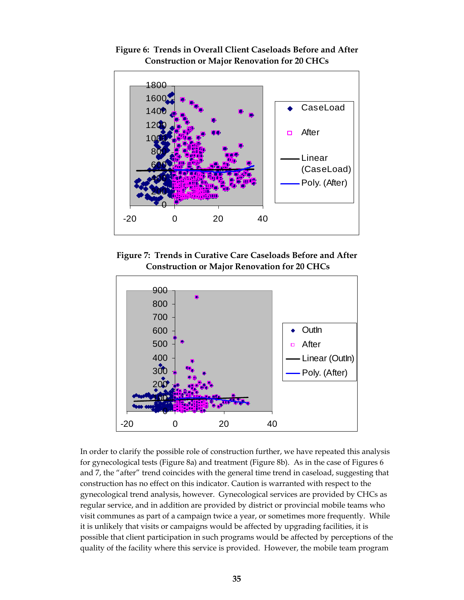

**Figure 6: Trends in Overall Client Caseloads Before and After Construction or Major Renovation for 20 CHCs** 

**Figure 7: Trends in Curative Care Caseloads Before and After Construction or Major Renovation for 20 CHCs** 



In order to clarify the possible role of construction further, we have repeated this analysis for gynecological tests (Figure 8a) and treatment (Figure 8b). As in the case of Figures 6 and 7, the "after" trend coincides with the general time trend in caseload, suggesting that construction has no effect on this indicator. Caution is warranted with respect to the gynecological trend analysis, however. Gynecological services are provided by CHCs as regular service, and in addition are provided by district or provincial mobile teams who visit communes as part of a campaign twice a year, or sometimes more frequently. While it is unlikely that visits or campaigns would be affected by upgrading facilities, it is possible that client participation in such programs would be affected by perceptions of the quality of the facility where this service is provided. However, the mobile team program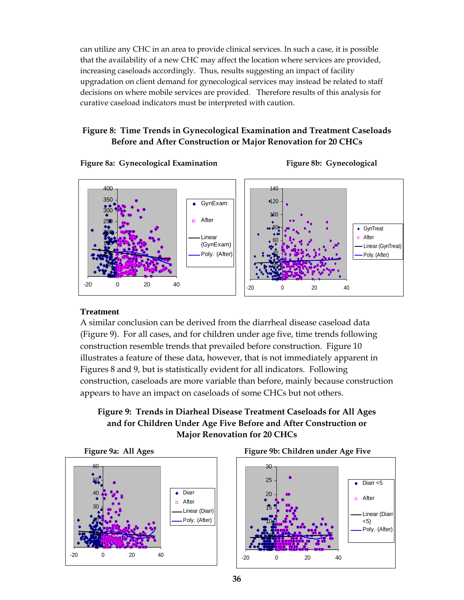can utilize any CHC in an area to provide clinical services. In such a case, it is possible that the availability of a new CHC may affect the location where services are provided, increasing caseloads accordingly. Thus, results suggesting an impact of facility upgradation on client demand for gynecological services may instead be related to staff decisions on where mobile services are provided. Therefore results of this analysis for curative caseload indicators must be interpreted with caution.

### **Figure 8: Time Trends in Gynecological Examination and Treatment Caseloads Before and After Construction or Major Renovation for 20 CHCs**

Figure 8a: Gynecological Examination Figure 8b: Gynecological





### **Treatment**

A similar conclusion can be derived from the diarrheal disease caseload data (Figure 9). For all cases, and for children under age five, time trends following construction resemble trends that prevailed before construction. Figure 10 illustrates a feature of these data, however, that is not immediately apparent in Figures 8 and 9, but is statistically evident for all indicators. Following construction, caseloads are more variable than before, mainly because construction appears to have an impact on caseloads of some CHCs but not others.

### **Figure 9: Trends in Diarheal Disease Treatment Caseloads for All Ages and for Children Under Age Five Before and After Construction or Major Renovation for 20 CHCs**





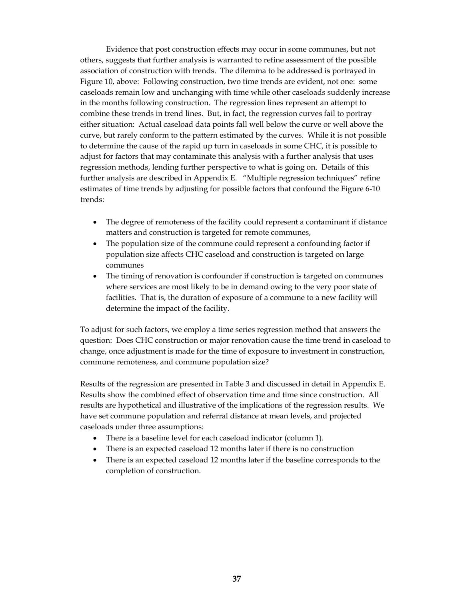Evidence that post construction effects may occur in some communes, but not others, suggests that further analysis is warranted to refine assessment of the possible association of construction with trends. The dilemma to be addressed is portrayed in Figure 10, above: Following construction, two time trends are evident, not one: some caseloads remain low and unchanging with time while other caseloads suddenly increase in the months following construction. The regression lines represent an attempt to combine these trends in trend lines. But, in fact, the regression curves fail to portray either situation: Actual caseload data points fall well below the curve or well above the curve, but rarely conform to the pattern estimated by the curves. While it is not possible to determine the cause of the rapid up turn in caseloads in some CHC, it is possible to adjust for factors that may contaminate this analysis with a further analysis that uses regression methods, lending further perspective to what is going on. Details of this further analysis are described in Appendix E. "Multiple regression techniques" refine estimates of time trends by adjusting for possible factors that confound the Figure 6-10 trends:

- The degree of remoteness of the facility could represent a contaminant if distance matters and construction is targeted for remote communes,
- The population size of the commune could represent a confounding factor if population size affects CHC caseload and construction is targeted on large communes
- The timing of renovation is confounder if construction is targeted on communes where services are most likely to be in demand owing to the very poor state of facilities. That is, the duration of exposure of a commune to a new facility will determine the impact of the facility.

To adjust for such factors, we employ a time series regression method that answers the question: Does CHC construction or major renovation cause the time trend in caseload to change, once adjustment is made for the time of exposure to investment in construction, commune remoteness, and commune population size?

Results of the regression are presented in Table 3 and discussed in detail in Appendix E. Results show the combined effect of observation time and time since construction. All results are hypothetical and illustrative of the implications of the regression results. We have set commune population and referral distance at mean levels, and projected caseloads under three assumptions:

- There is a baseline level for each caseload indicator (column 1).
- There is an expected caseload 12 months later if there is no construction
- There is an expected caseload 12 months later if the baseline corresponds to the completion of construction.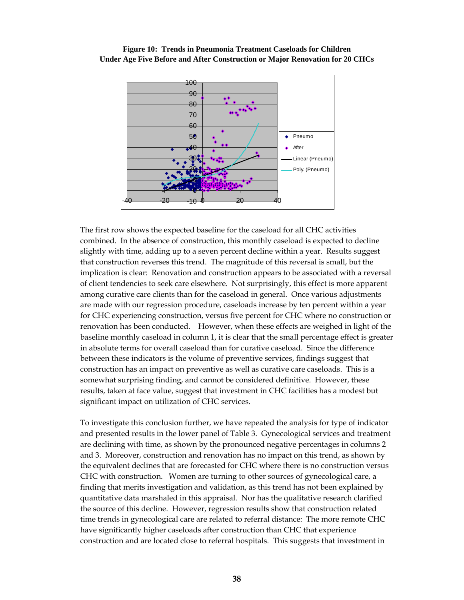

**Figure 10: Trends in Pneumonia Treatment Caseloads for Children Under Age Five Before and After Construction or Major Renovation for 20 CHCs**

The first row shows the expected baseline for the caseload for all CHC activities combined. In the absence of construction, this monthly caseload is expected to decline slightly with time, adding up to a seven percent decline within a year. Results suggest that construction reverses this trend. The magnitude of this reversal is small, but the implication is clear: Renovation and construction appears to be associated with a reversal of client tendencies to seek care elsewhere. Not surprisingly, this effect is more apparent among curative care clients than for the caseload in general. Once various adjustments are made with our regression procedure, caseloads increase by ten percent within a year for CHC experiencing construction, versus five percent for CHC where no construction or renovation has been conducted. However, when these effects are weighed in light of the baseline monthly caseload in column 1, it is clear that the small percentage effect is greater in absolute terms for overall caseload than for curative caseload. Since the difference between these indicators is the volume of preventive services, findings suggest that construction has an impact on preventive as well as curative care caseloads. This is a somewhat surprising finding, and cannot be considered definitive. However, these results, taken at face value, suggest that investment in CHC facilities has a modest but significant impact on utilization of CHC services.

To investigate this conclusion further, we have repeated the analysis for type of indicator and presented results in the lower panel of Table 3. Gynecological services and treatment are declining with time, as shown by the pronounced negative percentages in columns 2 and 3. Moreover, construction and renovation has no impact on this trend, as shown by the equivalent declines that are forecasted for CHC where there is no construction versus CHC with construction. Women are turning to other sources of gynecological care, a finding that merits investigation and validation, as this trend has not been explained by quantitative data marshaled in this appraisal. Nor has the qualitative research clarified the source of this decline. However, regression results show that construction related time trends in gynecological care are related to referral distance: The more remote CHC have significantly higher caseloads after construction than CHC that experience construction and are located close to referral hospitals. This suggests that investment in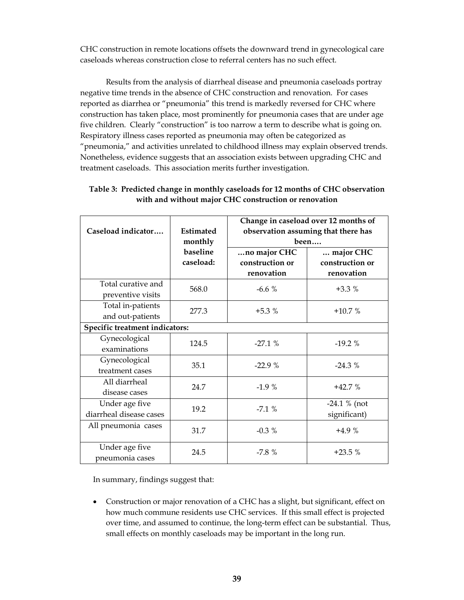CHC construction in remote locations offsets the downward trend in gynecological care caseloads whereas construction close to referral centers has no such effect.

Results from the analysis of diarrheal disease and pneumonia caseloads portray negative time trends in the absence of CHC construction and renovation. For cases reported as diarrhea or "pneumonia" this trend is markedly reversed for CHC where construction has taken place, most prominently for pneumonia cases that are under age five children. Clearly "construction" is too narrow a term to describe what is going on. Respiratory illness cases reported as pneumonia may often be categorized as "pneumonia," and activities unrelated to childhood illness may explain observed trends. Nonetheless, evidence suggests that an association exists between upgrading CHC and treatment caseloads. This association merits further investigation.

| Caseload indicator                        | Estimated<br>monthly  | Change in caseload over 12 months of<br>observation assuming that there has<br>been |                                            |
|-------------------------------------------|-----------------------|-------------------------------------------------------------------------------------|--------------------------------------------|
|                                           | baseline<br>caseload: | no major CHC<br>construction or<br>renovation                                       | major CHC<br>construction or<br>renovation |
| Total curative and<br>preventive visits   | 568.0                 | $-6.6%$                                                                             | $+3.3%$                                    |
| Total in-patients<br>and out-patients     | 277.3                 | $+5.3%$                                                                             | $+10.7%$                                   |
| Specific treatment indicators:            |                       |                                                                                     |                                            |
| Gynecological<br>examinations             | 124.5                 | $-27.1%$                                                                            | $-19.2%$                                   |
| Gynecological<br>treatment cases          | 35.1                  | $-22.9%$                                                                            | $-24.3%$                                   |
| All diarrheal<br>disease cases            | 24.7                  | $-1.9%$                                                                             | $+42.7%$                                   |
| Under age five<br>diarrheal disease cases | 19.2                  | $-7.1%$                                                                             | $-24.1 \%$ (not<br>significant)            |
| All pneumonia cases                       | 31.7                  | $-0.3\%$                                                                            | $+4.9%$                                    |
| Under age five<br>pneumonia cases         | 24.5                  | $-7.8%$                                                                             | $+23.5%$                                   |

### **Table 3: Predicted change in monthly caseloads for 12 months of CHC observation with and without major CHC construction or renovation**

In summary, findings suggest that:

• Construction or major renovation of a CHC has a slight, but significant, effect on how much commune residents use CHC services. If this small effect is projected over time, and assumed to continue, the long-term effect can be substantial. Thus, small effects on monthly caseloads may be important in the long run.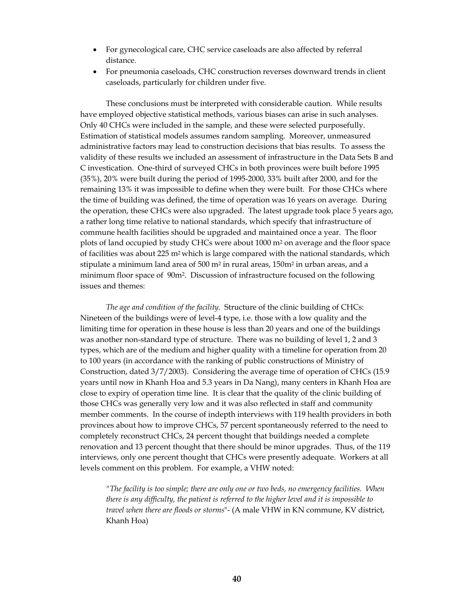- For gynecological care, CHC service caseloads are also affected by referral distance.
- For pneumonia caseloads, CHC construction reverses downward trends in client caseloads, particularly for children under five.

These conclusions must be interpreted with considerable caution. While results have employed objective statistical methods, various biases can arise in such analyses. Only 40 CHCs were included in the sample, and these were selected purposefully. Estimation of statistical models assumes random sampling. Moreover, unmeasured administrative factors may lead to construction decisions that bias results. To assess the validity of these results we included an assessment of infrastructure in the Data Sets B and C investication. One-third of surveyed CHCs in both provinces were built before 1995 (35%), 20% were built during the period of 1995-2000, 33% built after 2000, and for the remaining 13% it was impossible to define when they were built. For those CHCs where the time of building was defined, the time of operation was 16 years on average. During the operation, these CHCs were also upgraded. The latest upgrade took place 5 years ago, a rather long time relative to national standards, which specify that infrastructure of commune health facilities should be upgraded and maintained once a year. The floor plots of land occupied by study CHCs were about  $1000 \text{ m}^2$  on average and the floor space of facilities was about 225 m<sup>2</sup> which is large compared with the national standards, which stipulate a minimum land area of  $500$  m<sup>2</sup> in rural areas,  $150$ m<sup>2</sup> in urban areas, and a minimum floor space of 90m2. Discussion of infrastructure focused on the following issues and themes:

*The age and condition of the facility.* Structure of the clinic building of CHCs: Nineteen of the buildings were of level-4 type, i.e. those with a low quality and the limiting time for operation in these house is less than 20 years and one of the buildings was another non-standard type of structure. There was no building of level 1, 2 and 3 types, which are of the medium and higher quality with a timeline for operation from 20 to 100 years (in accordance with the ranking of public constructions of Ministry of Construction, dated 3/7/2003). Considering the average time of operation of CHCs (15.9 years until now in Khanh Hoa and 5.3 years in Da Nang), many centers in Khanh Hoa are close to expiry of operation time line. It is clear that the quality of the clinic building of those CHCs was generally very low and it was also reflected in staff and community member comments. In the course of indepth interviews with 119 health providers in both provinces about how to improve CHCs, 57 percent spontaneously referred to the need to completely reconstruct CHCs, 24 percent thought that buildings needed a complete renovation and 13 percent thought that there should be minor upgrades. Thus, of the 119 interviews, only one percent thought that CHCs were presently adequate. Workers at all levels comment on this problem. For example, a VHW noted:

*"The facility is too simple; there are only one or two beds, no emergency facilities. When there is any difficulty, the patient is referred to the higher level and it is impossible to travel when there are floods or storms*"- (A male VHW in KN commune, KV district, Khanh Hoa)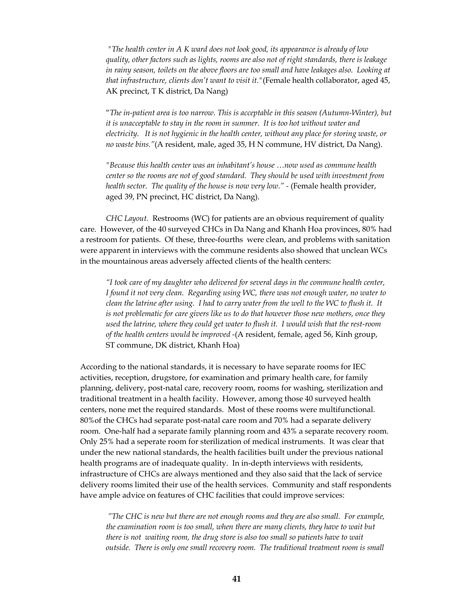*"The health center in A K ward does not look good, its appearance is already of low quality, other factors such as lights, rooms are also not of right standards, there is leakage in rainy season, toilets on the above floors are too small and have leakages also. Looking at that infrastructure, clients don't want to visit it."*(Female health collaborator, aged 45, AK precinct, T K district, Da Nang)

 "*The in-patient area is too narrow. This is acceptable in this season (Autumn-Winter), but it is unacceptable to stay in the room in summer. It is too hot without water and electricity. It is not hygienic in the health center, without any place for storing waste, or no waste bins."*(A resident, male, aged 35, H N commune, HV district, Da Nang).

*"Because this health center was an inhabitant's house …now used as commune health center so the rooms are not of good standard. They should be used with investment from health sector. The quality of the house is now very low." -* (Female health provider, aged 39, PN precinct, HC district, Da Nang).

*CHC Layout.* Restrooms (WC) for patients are an obvious requirement of quality care. However, of the 40 surveyed CHCs in Da Nang and Khanh Hoa provinces, 80% had a restroom for patients. Of these, three-fourths were clean, and problems with sanitation were apparent in interviews with the commune residents also showed that unclean WCs in the mountainous areas adversely affected clients of the health centers:

*"I took care of my daughter who delivered for several days in the commune health center, I found it not very clean. Regarding using WC, there was not enough water, no water to clean the latrine after using. I had to carry water from the well to the WC to flush it. It is not problematic for care givers like us to do that however those new mothers, once they used the latrine, where they could get water to flush it. I would wish that the rest-room of the health centers would be improved -*(A resident, female, aged 56, Kinh group, ST commune, DK district, Khanh Hoa)

According to the national standards, it is necessary to have separate rooms for IEC activities, reception, drugstore, for examination and primary health care, for family planning, delivery, post-natal care, recovery room, rooms for washing, sterilization and traditional treatment in a health facility. However, among those 40 surveyed health centers, none met the required standards. Most of these rooms were multifunctional. 80%of the CHCs had separate post-natal care room and 70% had a separate delivery room. One-half had a separate family planning room and 43% a separate recovery room. Only 25% had a seperate room for sterilization of medical instruments. It was clear that under the new national standards, the health facilities built under the previous national health programs are of inadequate quality. In in-depth interviews with residents, infrastructure of CHCs are always mentioned and they also said that the lack of service delivery rooms limited their use of the health services. Community and staff respondents have ample advice on features of CHC facilities that could improve services:

 *"The CHC is new but there are not enough rooms and they are also small. For example, the examination room is too small, when there are many clients, they have to wait but there is not waiting room, the drug store is also too small so patients have to wait outside. There is only one small recovery room. The traditional treatment room is small*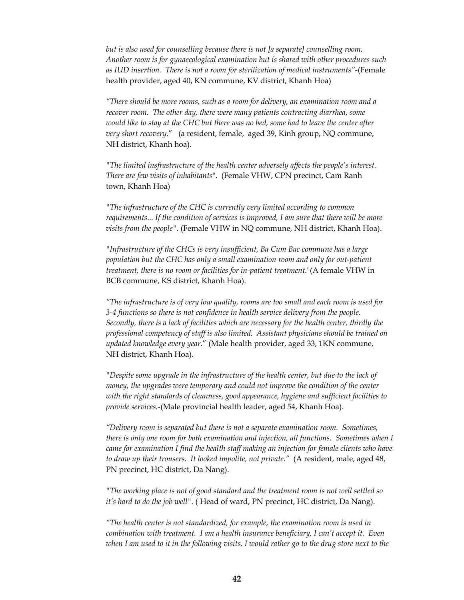*but is also used for counselling because there is not [a separate] counselling room. Another room is for gynaecological examination but is shared with other procedures such as IUD insertion. There is not a room for sterilization of medical instruments"-*(Female health provider, aged 40, KN commune, KV district, Khanh Hoa)

*"There should be more rooms, such as a room for delivery, an examination room and a recover room. The other day, there were many patients contracting diarrhea*, *some would like to stay at the CHC but there was no bed, some had to leave the center after very short recovery.*" (a resident, female, aged 39, Kinh group, NQ commune, NH district, Khanh hoa).

*"The limited insfrastructure of the health center adversely affects the people's interest. There are few visits of inhabitants*". (Female VHW, CPN precinct, Cam Ranh town, Khanh Hoa)

*"The infrastructure of the CHC is currently very limited according to common requirements... If the condition of services is improved, I am sure that there will be more visits from the people".* (Female VHW in NQ commune, NH district, Khanh Hoa).

*"Infrastructure of the CHCs is very insufficient, Ba Cum Bac commune has a large population but the CHC has only a small examination room and only for out-patient treatment, there is no room or facilities for in-patient treatment*."(A female VHW in BCB commune, KS district, Khanh Hoa).

*"The infrastructure is of very low quality, rooms are too small and each room is used for 3-4 functions so there is not confidence in health service delivery from the people. Secondly, there is a lack of facilities which are necessary for the health center, thirdly the professional competency of staff is also limited. Assistant physicians should be trained on updated knowledge every year*." (Male health provider, aged 33, 1KN commune, NH district, Khanh Hoa).

*"Despite some upgrade in the infrastructure of the health center, but due to the lack of money, the upgrades were temporary and could not improve the condition of the center with the right standards of cleanness, good appearance, hygiene and sufficient facilities to provide services.-*(Male provincial health leader, aged 54, Khanh Hoa).

*"Delivery room is separated but there is not a separate examination room. Sometimes, there is only one room for both examination and injection, all functions. Sometimes when I came for examination I find the health staff making an injection for female clients who have to draw up their trousers. It looked impolite, not private."* (A resident, male, aged 48, PN precinct, HC district, Da Nang).

*"The working place is not of good standard and the treatment room is not well settled so it's hard to do the job well".* ( Head of ward, PN precinct, HC district, Da Nang).

*"The health center is not standardized, for example, the examination room is used in combination with treatment. I am a health insurance beneficiary, I can't accept it. Even when I am used to it in the following visits, I would rather go to the drug store next to the*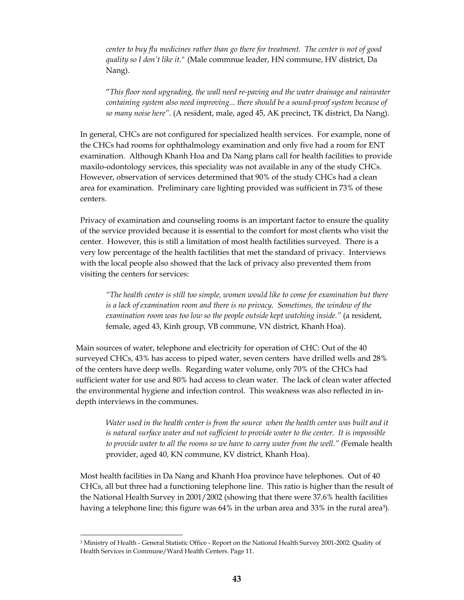*center to buy flu medicines rather than go there for treatment. The center is not of good quality so I don't like it."* (Male commnue leader, HN commune, HV district, Da Nang).

"*This floor need upgrading, the wall need re-paving and the water drainage and rainwater containing system also need improving... there should be a sound-proof system because of so many noise here".* (A resident, male, aged 45, AK precinct, TK district, Da Nang).

In general, CHCs are not configured for specialized health services. For example, none of the CHCs had rooms for ophthalmology examination and only five had a room for ENT examination. Although Khanh Hoa and Da Nang plans call for health facilities to provide maxilo-odontology services, this speciality was not available in any of the study CHCs. However, observation of services determined that 90% of the study CHCs had a clean area for examination. Preliminary care lighting provided was sufficient in 73% of these centers.

Privacy of examination and counseling rooms is an important factor to ensure the quality of the service provided because it is essential to the comfort for most clients who visit the center. However, this is still a limitation of most health factilities surveyed. There is a very low percentage of the health factilities that met the standard of privacy. Interviews with the local people also showed that the lack of privacy also prevented them from visiting the centers for services:

*"The health center is still too simple, women would like to come for examination but there is a lack of examination room and there is no privacy. Sometimes, the window of the examination room was too low so the people outside kept watching inside."* (a resident, female, aged 43, Kinh group, VB commune, VN district, Khanh Hoa).

Main sources of water, telephone and electricity for operation of CHC: Out of the 40 surveyed CHCs, 43% has access to piped water, seven centers have drilled wells and 28% of the centers have deep wells. Regarding water volume, only 70% of the CHCs had sufficient water for use and 80% had access to clean water. The lack of clean water affected the environmental hygiene and infection control. This weakness was also reflected in indepth interviews in the communes.

Water used in the health center is from the source when the health center was built and it *is natural surface water and not sufficient to provide water to the center. It is impossible to provide water to all the rooms so we have to carry water from the well." (*Female health provider, aged 40, KN commune, KV district, Khanh Hoa).

Most health facilities in Da Nang and Khanh Hoa province have telephones. Out of 40 CHCs, all but three had a functioning telephone line. This ratio is higher than the result of the National Health Survey in 2001/2002 (showing that there were 37.6% health facilities having a telephone line; this figure was 64% in the urban area and 33% in the rural area<sup>3</sup>).

<sup>3</sup> Ministry of Health - General Statistic Office - Report on the National Health Survey 2001-2002: Quality of Health Services in Commune/Ward Health Centers. Page 11.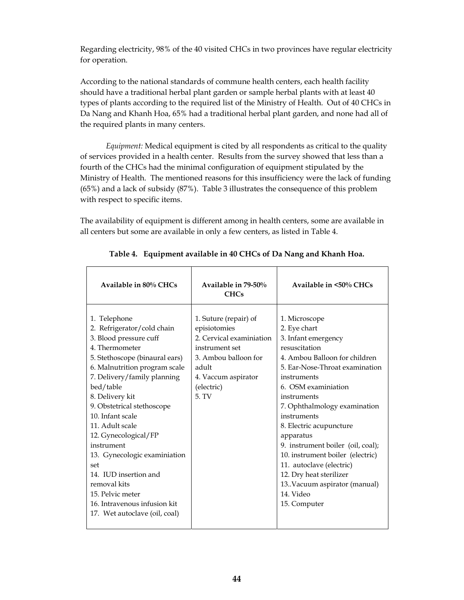Regarding electricity, 98% of the 40 visited CHCs in two provinces have regular electricity for operation.

According to the national standards of commune health centers, each health facility should have a traditional herbal plant garden or sample herbal plants with at least 40 types of plants according to the required list of the Ministry of Health. Out of 40 CHCs in Da Nang and Khanh Hoa, 65% had a traditional herbal plant garden, and none had all of the required plants in many centers.

*Equipment:* Medical equipment is cited by all respondents as critical to the quality of services provided in a health center. Results from the survey showed that less than a fourth of the CHCs had the minimal configuration of equipment stipulated by the Ministry of Health. The mentioned reasons for this insufficiency were the lack of funding (65%) and a lack of subsidy (87%). Table 3 illustrates the consequence of this problem with respect to specific items.

The availability of equipment is different among in health centers, some are available in all centers but some are available in only a few centers, as listed in Table 4.

| Available in 80% CHCs                                                                                                                                                                                                                                                                                                                                                                                                                                                                                    | Available in 79-50%<br><b>CHCs</b>                                                                                                                                 | Available in <50% CHCs                                                                                                                                                                                                                                                                                                                                                                                                                                                             |
|----------------------------------------------------------------------------------------------------------------------------------------------------------------------------------------------------------------------------------------------------------------------------------------------------------------------------------------------------------------------------------------------------------------------------------------------------------------------------------------------------------|--------------------------------------------------------------------------------------------------------------------------------------------------------------------|------------------------------------------------------------------------------------------------------------------------------------------------------------------------------------------------------------------------------------------------------------------------------------------------------------------------------------------------------------------------------------------------------------------------------------------------------------------------------------|
| 1. Telephone<br>2. Refrigerator/cold chain<br>3. Blood pressure cuff<br>4. Thermometer<br>5. Stethoscope (binaural ears)<br>6. Malnutrition program scale<br>7. Delivery/family planning<br>bed/table<br>8. Delivery kit<br>9. Obstetrical stethoscope<br>10. Infant scale<br>11. Adult scale<br>12. Gynecological/FP<br>instrument<br>13. Gynecologic examiniation<br>set<br>14. IUD insertion and<br>removal kits<br>15. Pelvic meter<br>16. Intravenous infusion kit<br>17. Wet autoclave (oil, coal) | 1. Suture (repair) of<br>episiotomies<br>2. Cervical examiniation<br>instrument set<br>3. Ambou balloon for<br>adult<br>4. Vaccum aspirator<br>(electric)<br>5. TV | 1. Microscope<br>2. Eye chart<br>3. Infant emergency<br>resuscitation<br>4. Ambou Balloon for children<br>5. Ear-Nose-Throat examination<br>instruments<br>6. OSM examiniation<br>instruments<br>7. Ophthalmology examination<br>instruments<br>8. Electric acupuncture<br>apparatus<br>9. instrument boiler (oil, coal);<br>10. instrument boiler (electric)<br>11. autoclave (electric)<br>12. Dry heat sterilizer<br>13. Vacuum aspirator (manual)<br>14. Video<br>15. Computer |
|                                                                                                                                                                                                                                                                                                                                                                                                                                                                                                          |                                                                                                                                                                    |                                                                                                                                                                                                                                                                                                                                                                                                                                                                                    |

**Table 4. Equipment available in 40 CHCs of Da Nang and Khanh Hoa.**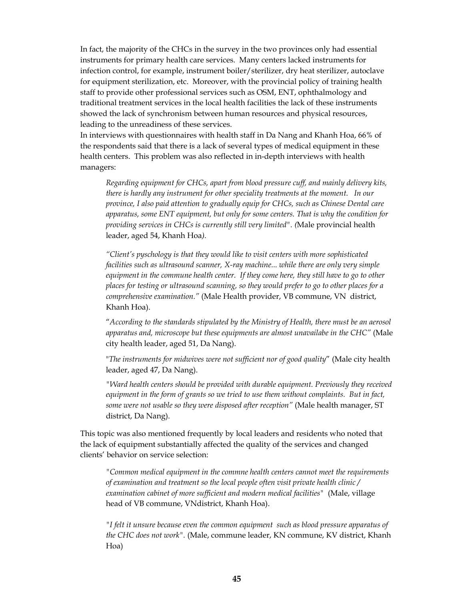In fact, the majority of the CHCs in the survey in the two provinces only had essential instruments for primary health care services. Many centers lacked instruments for infection control, for example, instrument boiler/sterilizer, dry heat sterilizer, autoclave for equipment sterilization, etc. Moreover, with the provincial policy of training health staff to provide other professional services such as OSM, ENT, ophthalmology and traditional treatment services in the local health facilities the lack of these instruments showed the lack of synchronism between human resources and physical resources, leading to the unreadiness of these services.

In interviews with questionnaires with health staff in Da Nang and Khanh Hoa, 66% of the respondents said that there is a lack of several types of medical equipment in these health centers. This problem was also reflected in in-depth interviews with health managers:

*Regarding equipment for CHCs, apart from blood pressure cuff, and mainly delivery kits, there is hardly any instrument for other speciality treatments at the moment. In our province, I also paid attention to gradually equip for CHCs, such as Chinese Dental care apparatus, some ENT equipment, but only for some centers. That is why the condition for providing services in CHCs is currently still very limited". (*Male provincial health leader, aged 54, Khanh Hoa*).* 

*"Client's pyschology is that they would like to visit centers with more sophisticated facilities such as ultrasound scanner, X-ray machine... while there are only very simple equipment in the commune health center. If they come here, they still have to go to other places for testing or ultrasound scanning, so they would prefer to go to other places for a comprehensive examination."* (Male Health provider, VB commune, VN district, Khanh Hoa).

"*According to the standards stipulated by the Ministry of Health, there must be an aerosol apparatus and, microscope but these equipments are almost unavailabe in the CHC"* (Male city health leader, aged 51, Da Nang).

"*The instruments for midwives were not sufficient nor of good quality*" (Male city health leader, aged 47, Da Nang).

*"Ward health centers should be provided with durable equipment. Previously they received equipment in the form of grants so we tried to use them without complaints. But in fact, some were not usable so they were disposed after reception"* (Male health manager, ST district, Da Nang).

This topic was also mentioned frequently by local leaders and residents who noted that the lack of equipment substantially affected the quality of the services and changed clients' behavior on service selection:

*"Common medical equipment in the commne health centers cannot meet the requirements of examination and treatment so the local people often visit private health clinic / examination cabinet of more sufficient and modern medical facilities"* (Male, village head of VB commune, VNdistrict, Khanh Hoa).

*"I felt it unsure because even the common equipment such as blood pressure apparatus of the CHC does not work".* (Male, commune leader, KN commune, KV district, Khanh Hoa)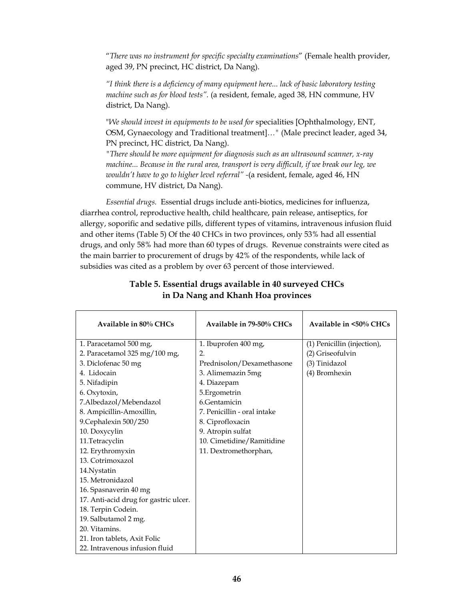"*There was no instrument for specific specialty examinations*" (Female health provider, aged 39, PN precinct, HC district, Da Nang).

*"I think there is a deficiency of many equipment here... lack of basic laboratory testing machine such as for blood tests".* (a resident, female, aged 38, HN commune, HV district, Da Nang).

"*We should invest in equipments to be used for* specialities [Ophthalmology, ENT, OSM, Gynaecology and Traditional treatment]*…"* (Male precinct leader, aged 34, PN precinct, HC district, Da Nang).

*"There should be more equipment for diagnosis such as an ultrasound scanner, x-ray machine... Because in the rural area, transport is very difficult, if we break our leg, we wouldn't have to go to higher level referral" -*(a resident, female, aged 46, HN commune, HV district, Da Nang).

*Essential drugs.* Essential drugs include anti-biotics, medicines for influenza, diarrhea control, reproductive health, child healthcare, pain release, antiseptics, for allergy, soporific and sedative pills, different types of vitamins, intravenous infusion fluid and other items (Table 5) Of the 40 CHCs in two provinces, only 53% had all essential drugs, and only 58% had more than 60 types of drugs. Revenue constraints were cited as the main barrier to procurement of drugs by 42% of the respondents, while lack of subsidies was cited as a problem by over 63 percent of those interviewed.

| Available in 80% CHCs                 | Available in 79-50% CHCs    | Available in <50% CHCs      |
|---------------------------------------|-----------------------------|-----------------------------|
| 1. Paracetamol 500 mg,                | 1. Ibuprofen 400 mg,        | (1) Penicillin (injection), |
| 2. Paracetamol 325 mg/100 mg,         | 2.                          | (2) Griseofulvin            |
| 3. Diclofenac 50 mg                   | Prednisolon/Dexamethasone   | (3) Tinidazol               |
| 4. Lidocain                           | 3. Alimemazin 5mg           | (4) Bromhexin               |
| 5. Nifadipin                          | 4. Diazepam                 |                             |
| 6. Oxytoxin,                          | 5.Ergometrin                |                             |
| 7.Albedazol/Mebendazol                | 6.Gentamicin                |                             |
| 8. Ampicillin-Amoxillin,              | 7. Penicillin - oral intake |                             |
| 9. Cephalexin 500/250                 | 8. Ciprofloxacin            |                             |
| 10. Doxycylin                         | 9. Atropin sulfat           |                             |
| 11.Tetracyclin                        | 10. Cimetidine/Ramitidine   |                             |
| 12. Erythromyxin                      | 11. Dextromethorphan,       |                             |
| 13. Cotrimoxazol                      |                             |                             |
| 14. Nystatin                          |                             |                             |
| 15. Metronidazol                      |                             |                             |
| 16. Spasnaverin 40 mg                 |                             |                             |
| 17. Anti-acid drug for gastric ulcer. |                             |                             |
| 18. Terpin Codein.                    |                             |                             |
| 19. Salbutamol 2 mg.                  |                             |                             |
| 20. Vitamins.                         |                             |                             |
| 21. Iron tablets, Axit Folic          |                             |                             |
| 22. Intravenous infusion fluid        |                             |                             |

### **Table 5. Essential drugs available in 40 surveyed CHCs in Da Nang and Khanh Hoa provinces**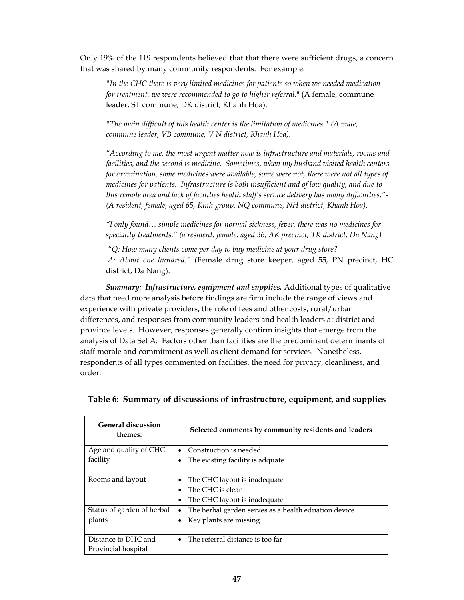Only 19% of the 119 respondents believed that that there were sufficient drugs, a concern that was shared by many community respondents. For example:

*"In the CHC there is very limited medicines for patients so when we needed medication for treatment, we were recommended to go to higher referral*." (A female, commune leader, ST commune, DK district, Khanh Hoa).

*"The main difficult of this health center is the limitation of medicines." (A male, commune leader, VB commune, V N district, Khanh Hoa).* 

*"According to me, the most urgent matter now is infrastructure and materials, rooms and facilities, and the second is medicine. Sometimes, when my husband visited health centers for examination, some medicines were available, some were not, there were not all types of medicines for patients. Infrastructure is both insufficient and of low quality, and due to this remote area and lack of facilities health staff's service delivery has many difficulties."- (A resident, female, aged 65, Kinh group, NQ commune, NH district, Khanh Hoa).* 

*"I only found… simple medicines for normal sickness, fever, there was no medicines for speciality treatments." (a resident, female, aged 36, AK precinct, TK district, Da Nang)* 

 *"Q: How many clients come per day to buy medicine at your drug store?* 

 *A: About one hundred."* (Female drug store keeper, aged 55, PN precinct, HC district, Da Nang).

*Summary: Infrastructure, equipment and supplies.* Additional types of qualitative data that need more analysis before findings are firm include the range of views and experience with private providers, the role of fees and other costs, rural/urban differences, and responses from community leaders and health leaders at district and province levels. However, responses generally confirm insights that emerge from the analysis of Data Set A: Factors other than facilities are the predominant determinants of staff morale and commitment as well as client demand for services. Nonetheless, respondents of all types commented on facilities, the need for privacy, cleanliness, and order.

| <b>General discussion</b><br>themes: | Selected comments by community residents and leaders      |
|--------------------------------------|-----------------------------------------------------------|
| Age and quality of CHC               | Construction is needed<br>$\bullet$                       |
| facility                             | The existing facility is adquate<br>$\bullet$             |
| Rooms and layout                     | The CHC layout is inadequate<br>٠                         |
|                                      | The CHC is clean<br>$\bullet$                             |
|                                      | The CHC layout is inadequate<br>٠                         |
| Status of garden of herbal           | The herbal garden serves as a health eduation device<br>٠ |
| plants                               | Key plants are missing                                    |
| Distance to DHC and                  | The referral distance is too far<br>$\bullet$             |
| Provincial hospital                  |                                                           |

### **Table 6: Summary of discussions of infrastructure, equipment, and supplies**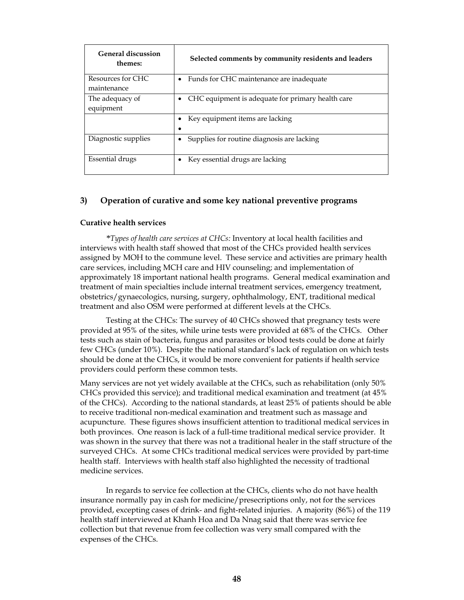| <b>General discussion</b><br>themes: | Selected comments by community residents and leaders   |
|--------------------------------------|--------------------------------------------------------|
| Resources for CHC<br>maintenance     | Funds for CHC maintenance are inadequate<br>٠          |
| The adequacy of<br>equipment         | CHC equipment is adequate for primary health care<br>٠ |
|                                      | Key equipment items are lacking                        |
| Diagnostic supplies                  | Supplies for routine diagnosis are lacking             |
| Essential drugs                      | Key essential drugs are lacking                        |

#### **3) Operation of curative and some key national preventive programs**

#### **Curative health services**

 *\*Types of health care services at CHCs:* Inventory at local health facilities and interviews with health staff showed that most of the CHCs provided health services assigned by MOH to the commune level. These service and activities are primary health care services, including MCH care and HIV counseling; and implementation of approximately 18 important national health programs. General medical examination and treatment of main specialties include internal treatment services, emergency treatment, obstetrics/gynaecologics, nursing, surgery, ophthalmology, ENT, traditional medical treatment and also OSM were performed at different levels at the CHCs.

 Testing at the CHCs: The survey of 40 CHCs showed that pregnancy tests were provided at 95% of the sites, while urine tests were provided at 68% of the CHCs. Other tests such as stain of bacteria, fungus and parasites or blood tests could be done at fairly few CHCs (under 10%). Despite the national standard's lack of regulation on which tests should be done at the CHCs, it would be more convenient for patients if health service providers could perform these common tests.

Many services are not yet widely available at the CHCs, such as rehabilitation (only 50% CHCs provided this service); and traditional medical examination and treatment (at 45% of the CHCs). According to the national standards, at least 25% of patients should be able to receive traditional non-medical examination and treatment such as massage and acupuncture. These figures shows insufficient attention to traditional medical services in both provinces. One reason is lack of a full-time traditional medical service provider. It was shown in the survey that there was not a traditional healer in the staff structure of the surveyed CHCs. At some CHCs traditional medical services were provided by part-time health staff. Interviews with health staff also highlighted the necessity of tradtional medicine services.

In regards to service fee collection at the CHCs, clients who do not have health insurance normally pay in cash for medicine/presecriptions only, not for the services provided, excepting cases of drink- and fight-related injuries. A majority (86%) of the 119 health staff interviewed at Khanh Hoa and Da Nnag said that there was service fee collection but that revenue from fee collection was very small compared with the expenses of the CHCs.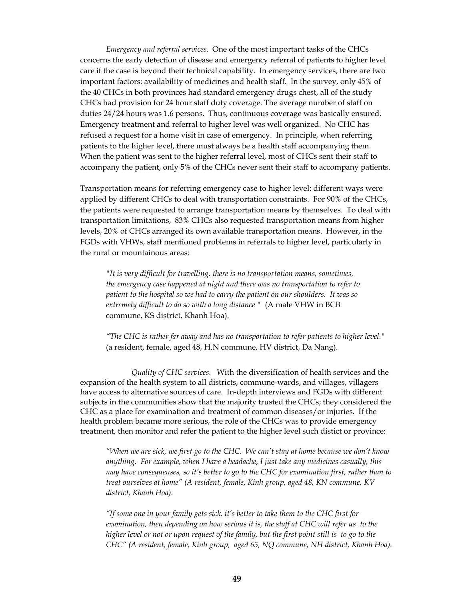*Emergency and referral services.* One of the most important tasks of the CHCs concerns the early detection of disease and emergency referral of patients to higher level care if the case is beyond their technical capability. In emergency services, there are two important factors: availability of medicines and health staff. In the survey, only 45% of the 40 CHCs in both provinces had standard emergency drugs chest, all of the study CHCs had provision for 24 hour staff duty coverage. The average number of staff on duties 24/24 hours was 1.6 persons. Thus, continuous coverage was basically ensured. Emergency treatment and referral to higher level was well organized. No CHC has refused a request for a home visit in case of emergency. In principle, when referring patients to the higher level, there must always be a health staff accompanying them. When the patient was sent to the higher referral level, most of CHCs sent their staff to accompany the patient, only 5% of the CHCs never sent their staff to accompany patients.

Transportation means for referring emergency case to higher level: different ways were applied by different CHCs to deal with transportation constraints. For 90% of the CHCs, the patients were requested to arrange transportation means by themselves. To deal with transportation limitations, 83% CHCs also requested transportation means from higher levels, 20% of CHCs arranged its own available transportation means. However, in the FGDs with VHWs, staff mentioned problems in referrals to higher level, particularly in the rural or mountainous areas:

*"It is very difficult for travelling, there is no transportation means, sometimes, the emergency case happened at night and there was no transportation to refer to patient to the hospital so we had to carry the patient on our shoulders. It was so extremely difficult to do so with a long distance "* (A male VHW in BCB commune, KS district, Khanh Hoa).

*"The CHC is rather far away and has no transportation to refer patients to higher level."* (a resident, female, aged 48, H.N commune, HV district, Da Nang).

 *Quality of CHC services.* With the diversification of health services and the expansion of the health system to all districts, commune-wards, and villages, villagers have access to alternative sources of care. In-depth interviews and FGDs with different subjects in the communities show that the majority trusted the CHCs; they considered the CHC as a place for examination and treatment of common diseases/or injuries. If the health problem became more serious, the role of the CHCs was to provide emergency treatment, then monitor and refer the patient to the higher level such distict or province:

*"When we are sick, we first go to the CHC. We can't stay at home because we don't know anything. For example, when I have a headache, I just take any medicines casually, this may have consequenses, so it's better to go to the CHC for examination first, rather than to treat ourselves at home" (A resident, female, Kinh group, aged 48, KN commune, KV district, Khanh Hoa).* 

*"If some one in your family gets sick, it's better to take them to the CHC first for examination, then depending on how serious it is, the staff at CHC will refer us to the higher level or not or upon request of the family, but the first point still is to go to the CHC" (A resident, female, Kinh group, aged 65, NQ commune, NH district, Khanh Hoa).*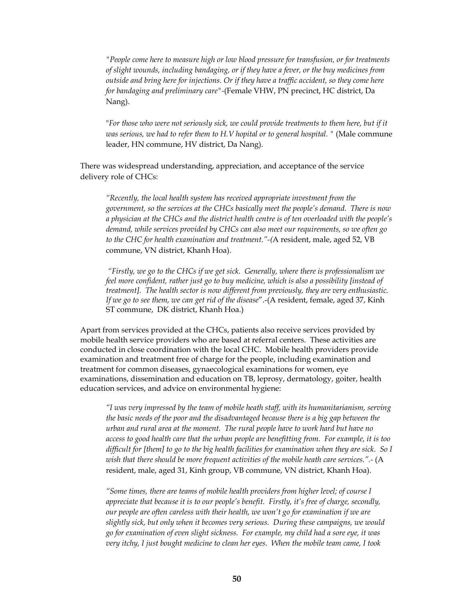*"People come here to measure high or low blood pressure for transfusion, or for treatments of slight wounds, including bandaging, or if they have a fever, or the buy medicines from outside and bring here for injections. Or if they have a traffic accident, so they come here for bandaging and preliminary care"-*(Female VHW, PN precinct, HC district, Da Nang).

"*For those who were not seriously sick, we could provide treatments to them here, but if it was serious, we had to refer them to H.V hopital or to general hospital.* " (Male commune leader, HN commune, HV district, Da Nang).

 There was widespread understanding, appreciation, and acceptance of the service delivery role of CHCs:

*"Recently, the local health system has received appropriate investment from the government, so the services at the CHCs basically meet the people's demand. There is now a physician at the CHCs and the district health centre is of ten overloaded with the people's demand, while services provided by CHCs can also meet our requirements, so we often go to the CHC for health examination and treatment."-(*A resident, male, aged 52, VB commune, VN district, Khanh Hoa).

 *"Firstly, we go to the CHCs if we get sick. Generally, where there is professionalism we feel more confident, rather just go to buy medicine, which is also a possibility [instead of treatment]. The health sector is now different from previously, they are very enthusiastic. If we go to see them, we can get rid of the disease*".-(A resident, female, aged 37, Kinh ST commune, DK district, Khanh Hoa.)

Apart from services provided at the CHCs, patients also receive services provided by mobile health service providers who are based at referral centers. These activities are conducted in close coordination with the local CHC. Mobile health providers provide examination and treatment free of charge for the people, including examination and treatment for common diseases, gynaecological examinations for women, eye examinations, dissemination and education on TB, leprosy, dermatology, goiter, health education services, and advice on environmental hygiene:

*"I was very impressed by the team of mobile heath staff, with its humanitarianism, serving the basic needs of the poor and the disadvantaged because there is a big gap between the urban and rural area at the moment. The rural people have to work hard but have no access to good health care that the urban people are benefitting from. For example, it is too difficult for [them] to go to the big health facilities for examination when they are sick. So I wish that there should be more frequent activities of the mobile heath care services.".-* (A resident, male, aged 31, Kinh group, VB commune, VN district, Khanh Hoa).

*"Some times, there are teams of mobile health providers from higher level; of course I appreciate that because it is to our people's benefit. Firstly, it's free of charge, secondly, our people are often careless with their health, we won't go for examination if we are slightly sick, but only when it becomes very serious. During these campaigns, we would go for examination of even slight sickness. For example, my child had a sore eye, it was very itchy, I just bought medicine to clean her eyes. When the mobile team came, I took*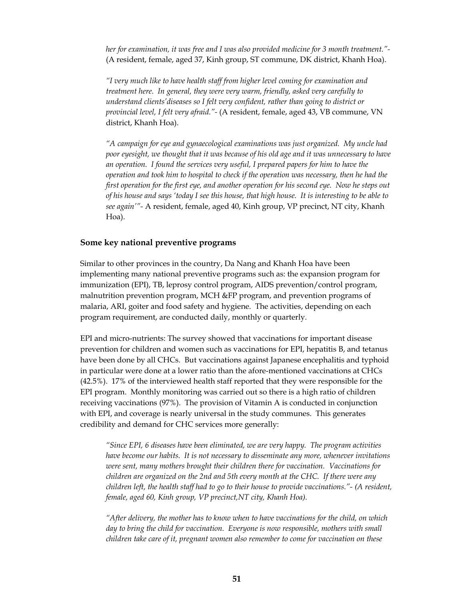*her for examination, it was free and I was also provided medicine for 3 month treatment."-*  (A resident, female, aged 37, Kinh group, ST commune, DK district, Khanh Hoa).

*"I very much like to have health staff from higher level coming for examination and treatment here. In general, they were very warm, friendly, asked very carefully to understand clients'diseases so I felt very confident, rather than going to district or provincial level, I felt very afraid."-* (A resident, female, aged 43, VB commune, VN district, Khanh Hoa).

*"A campaign for eye and gynaecological examinations was just organized. My uncle had poor eyesight, we thought that it was because of his old age and it was unnecessary to have an operation. I found the services very useful, I prepared papers for him to have the operation and took him to hospital to check if the operation was necessary, then he had the first operation for the first eye, and another operation for his second eye. Now he steps out of his house and says 'today I see this house, that high house. It is interesting to be able to see again'"-* A resident, female, aged 40, Kinh group, VP precinct, NT city, Khanh Hoa).

#### **Some key national preventive programs**

Similar to other provinces in the country, Da Nang and Khanh Hoa have been implementing many national preventive programs such as: the expansion program for immunization (EPI), TB, leprosy control program, AIDS prevention/control program, malnutrition prevention program, MCH &FP program, and prevention programs of malaria, ARI, goiter and food safety and hygiene. The activities, depending on each program requirement, are conducted daily, monthly or quarterly.

EPI and micro-nutrients: The survey showed that vaccinations for important disease prevention for children and women such as vaccinations for EPI, hepatitis B, and tetanus have been done by all CHCs. But vaccinations against Japanese encephalitis and typhoid in particular were done at a lower ratio than the afore-mentioned vaccinations at CHCs (42.5%). 17% of the interviewed health staff reported that they were responsible for the EPI program. Monthly monitoring was carried out so there is a high ratio of children receiving vaccinations (97%). The provision of Vitamin A is conducted in conjunction with EPI, and coverage is nearly universal in the study communes. This generates credibility and demand for CHC services more generally:

 *"Since EPI, 6 diseases have been eliminated, we are very happy. The program activities have become our habits. It is not necessary to disseminate any more, whenever invitations were sent, many mothers brought their children there for vaccination. Vaccinations for children are organized on the 2nd and 5th every month at the CHC. If there were any children left, the health staff had to go to their house to provide vaccinations."- (A resident, female, aged 60, Kinh group, VP precinct,NT city, Khanh Hoa).* 

*"After delivery, the mother has to know when to have vaccinations for the child, on which day to bring the child for vaccination. Everyone is now responsible, mothers with small children take care of it, pregnant women also remember to come for vaccination on these*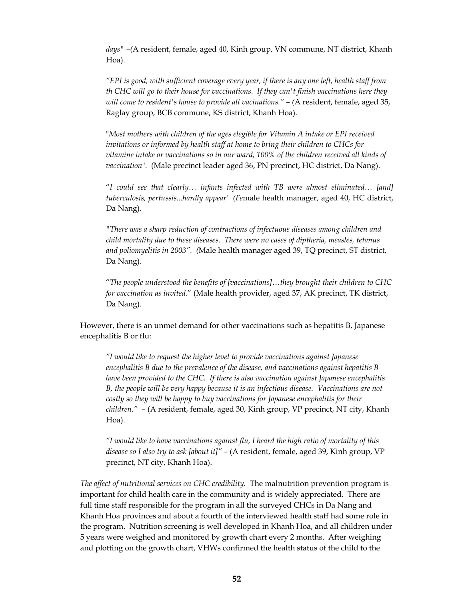*days" –(*A resident, female, aged 40, Kinh group, VN commune, NT district, Khanh Hoa).

*"EPI is good, with sufficient coverage every year, if there is any one left, health staff from th CHC will go to their house for vaccinations. If they can't finish vaccinations here they will come to resident's house to provide all vacinations." – (*A resident, female, aged 35, Raglay group, BCB commune, KS district, Khanh Hoa).

"*Most mothers with children of the ages elegible for Vitamin A intake or EPI received invitations or informed by health staff at home to bring their children to CHCs for vitamine intake or vaccinations so in our ward, 100% of the children received all kinds of vaccination*". (Male precinct leader aged 36, PN precinct, HC district, Da Nang).

"*I could see that clearly… infants infected with TB were almost eliminated… [and] tuberculosis, pertussis...hardly appear" (Fe*male health manager, aged 40, HC district, Da Nang).

*"There was a sharp reduction of contractions of infectuous diseases among children and child mortality due to these diseases. There were no cases of diptheria, measles, tetanus and poliomyelitis in 2003". (*Male health manager aged 39, TQ precinct, ST district, Da Nang).

"*The people understood the benefits of [vaccinations]…they brought their children to CHC for vaccination as invited.*" (Male health provider, aged 37, AK precinct, TK district, Da Nang).

However, there is an unmet demand for other vaccinations such as hepatitis B, Japanese encephalitis B or flu:

*"I would like to request the higher level to provide vaccinations against Japanese encephalitis B due to the prevalence of the disease, and vaccinations against hepatitis B have been provided to the CHC. If there is also vaccination against Japanese encephalitis B, the people will be very happy because it is an infectious disease. Vaccinations are not costly so they will be happy to buy vaccinations for Japanese encephalitis for their children."* – (A resident, female, aged 30, Kinh group, VP precinct, NT city, Khanh Hoa).

*"I would like to have vaccinations against flu, I heard the high ratio of mortality of this disease so I also try to ask [about it]" –* (A resident, female, aged 39, Kinh group, VP precinct, NT city, Khanh Hoa).

*The affect of nutritional services on CHC credibility.* The malnutrition prevention program is important for child health care in the community and is widely appreciated. There are full time staff responsible for the program in all the surveyed CHCs in Da Nang and Khanh Hoa provinces and about a fourth of the interviewed health staff had some role in the program. Nutrition screening is well developed in Khanh Hoa, and all children under 5 years were weighed and monitored by growth chart every 2 months. After weighing and plotting on the growth chart, VHWs confirmed the health status of the child to the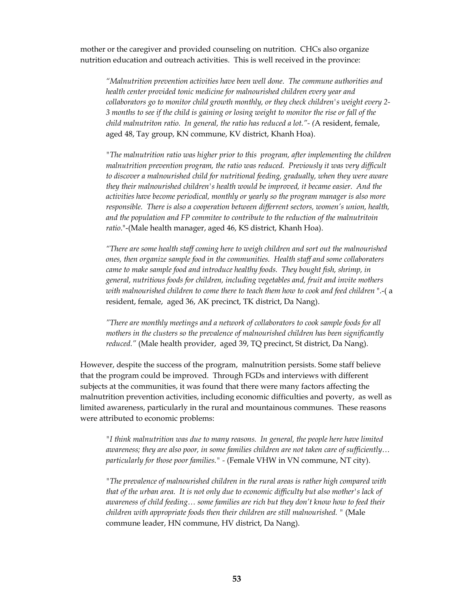mother or the caregiver and provided counseling on nutrition. CHCs also organize nutrition education and outreach activities. This is well received in the province:

*"Malnutrition prevention activities have been well done. The commune authorities and health center provided tonic medicine for malnourished children every year and collaborators go to monitor child growth monthly, or they check children's weight every 2- 3 months to see if the child is gaining or losing weight to monitor the rise or fall of the child malnutriton ratio. In general, the ratio has reduced a lot."- (*A resident, female, aged 48, Tay group, KN commune, KV district, Khanh Hoa).

*"The malnutrition ratio was higher prior to this program, after implementing the children malnutrition prevention program, the ratio was reduced. Previously it was very difficult to discover a malnourished child for nutritional feeding, gradually, when they were aware they their malnourished children's health would be improved, it became easier. And the activities have become periodical, monthly or yearly so the program manager is also more responsible. There is also a cooperation between differrent sectors, women's union, health, and the population and FP commitee to contribute to the reduction of the malnutritoin ratio*."-(Male health manager, aged 46, KS district, Khanh Hoa).

*"There are some health staff coming here to weigh children and sort out the malnourished ones, then organize sample food in the communities. Health staff and some collaboraters came to make sample food and introduce healthy foods. They bought fish, shrimp, in general, nutritious foods for children, including vegetables and, fruit and invite mothers with malnourished children to come there to teach them how to cook and feed children* ".-( a resident, female, aged 36, AK precinct, TK district, Da Nang).

*"There are monthly meetings and a network of collaborators to cook sample foods for all mothers in the clusters so the prevalence of malnourished children has been significantly reduced."* (Male health provider, aged 39, TQ precinct, St district, Da Nang).

However, despite the success of the program, malnutrition persists. Some staff believe that the program could be improved. Through FGDs and interviews with different subjects at the communities, it was found that there were many factors affecting the malnutrition prevention activities, including economic difficulties and poverty, as well as limited awareness, particularly in the rural and mountainous communes. These reasons were attributed to economic problems:

*"I think malnutrition was due to many reasons. In general, the people here have limited awareness; they are also poor, in some families children are not taken care of sufficiently… particularly for those poor families." -* (Female VHW in VN commune, NT city).

*"The prevalence of malnourished children in the rural areas is rather high compared with that of the urban area. It is not only due to economic difficulty but also mother's lack of awareness of child feeding… some families are rich but they don't know how to feed their children with appropriate foods then their children are still malnourished. "* (Male commune leader, HN commune, HV district, Da Nang).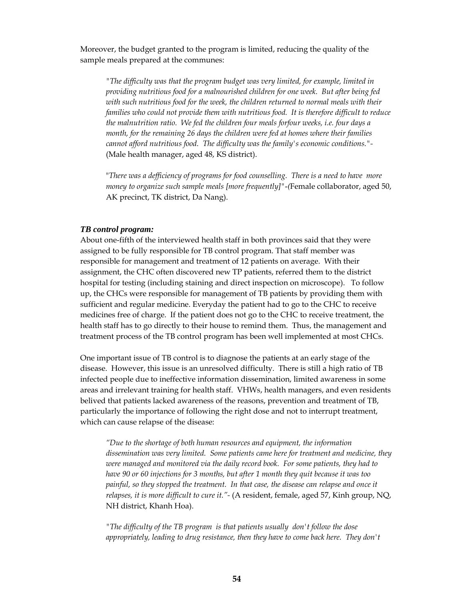Moreover, the budget granted to the program is limited, reducing the quality of the sample meals prepared at the communes:

*"The difficulty was that the program budget was very limited, for example, limited in providing nutritious food for a malnourished children for one week. But after being fed with such nutritious food for the week, the children returned to normal meals with their families who could not provide them with nutritious food. It is therefore difficult to reduce the malnutrition ratio. We fed the children four meals forfour weeks, i.e. four days a month, for the remaining 26 days the children were fed at homes where their families cannot afford nutritious food. The difficulty was the family's economic conditions."-*  (Male health manager, aged 48, KS district).

"*There was a defficiency of programs for food counselling. There is a need to have more money to organize such sample meals [more frequently]"*-*(*Female collaborator, aged 50, AK precinct, TK district, Da Nang).

#### *TB control program:*

About one-fifth of the interviewed health staff in both provinces said that they were assigned to be fully responsible for TB control program. That staff member was responsible for management and treatment of 12 patients on average. With their assignment, the CHC often discovered new TP patients, referred them to the district hospital for testing (including staining and direct inspection on microscope). To follow up, the CHCs were responsible for management of TB patients by providing them with sufficient and regular medicine. Everyday the patient had to go to the CHC to receive medicines free of charge. If the patient does not go to the CHC to receive treatment, the health staff has to go directly to their house to remind them. Thus, the management and treatment process of the TB control program has been well implemented at most CHCs.

One important issue of TB control is to diagnose the patients at an early stage of the disease. However, this issue is an unresolved difficulty. There is still a high ratio of TB infected people due to ineffective information dissemination, limited awareness in some areas and irrelevant training for health staff. VHWs, health managers, and even residents belived that patients lacked awareness of the reasons, prevention and treatment of TB, particularly the importance of following the right dose and not to interrupt treatment, which can cause relapse of the disease:

*"Due to the shortage of both human resources and equipment, the information dissemination was very limited. Some patients came here for treatment and medicine, they were managed and monitored via the daily record book. For some patients, they had to have 90 or 60 injections for 3 months, but after 1 month they quit because it was too painful, so they stopped the treatment. In that case, the disease can relapse and once it relapses, it is more difficult to cure it."-* (A resident, female, aged 57, Kinh group, NQ, NH district, Khanh Hoa).

*"The difficulty of the TB program is that patients usually don't follow the dose appropriately, leading to drug resistance, then they have to come back here. They don't*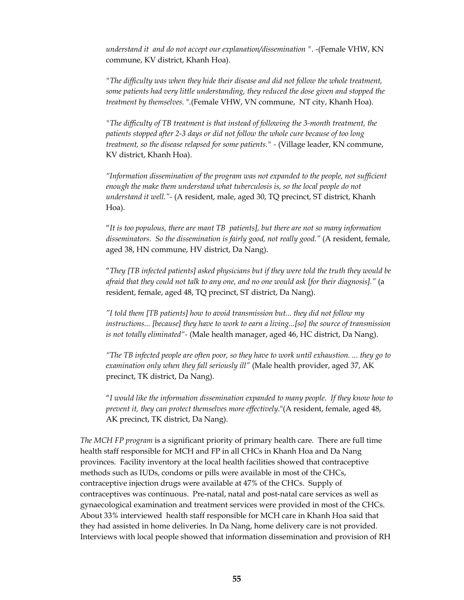*understand it and do not accept our explanation/dissemination ".* -(Female VHW, KN commune, KV district, Khanh Hoa).

 *"The difficulty was when they hide their disease and did not follow the whole treatment, some patients had very little understanding, they reduced the dose given and stopped the treatment by themselves.* ".(Female VHW, VN commune, NT city, Khanh Hoa).

*"The difficulty of TB treatment is that instead of following the 3-month treatment, the patients stopped after 2-3 days or did not follow the whole cure because of too long treatment, so the disease relapsed for some patients." - (Village leader, KN commune,* KV district, Khanh Hoa).

*"Information dissemination of the program was not expanded to the people, not sufficient enough the make them understand what tuberculosis is, so the local people do not understand it well."-* (A resident, male, aged 30, TQ precinct, ST district, Khanh Hoa).

"*It is too populous, there are mant TB patients], but there are not so many information disseminators. So the dissemination is fairly good, not really good."* (A resident, female, aged 38, HN commune, HV district, Da Nang).

"*They [TB infected patients] asked physicians but if they were told the truth they would be afraid that they could not talk to any one, and no one would ask [for their diagnosis]."* (a resident, female, aged 48, TQ precinct, ST district, Da Nang).

*"I told them [TB patients] how to avoid transmission but... they did not follow my instructions... [because] they have to work to earn a living...[so] the source of transmission is not totally eliminated"-* (Male health manager, aged 46, HC district, Da Nang).

*"The TB infected people are often poor, so they have to work until exhaustion. ... they go to examination only when they fall seriously ill"* (Male health provider, aged 37, AK precinct, TK district, Da Nang).

"*I would like the information dissemination expanded to many people. If they know how to prevent it, they can protect themselves more effectively*."(A resident, female, aged 48, AK precinct, TK district, Da Nang).

*The MCH FP program* is a significant priority of primary health care. There are full time health staff responsible for MCH and FP in all CHCs in Khanh Hoa and Da Nang provinces. Facility inventory at the local health facilities showed that contraceptive methods such as IUDs, condoms or pills were available in most of the CHCs, contraceptive injection drugs were available at 47% of the CHCs. Supply of contraceptives was continuous. Pre-natal, natal and post-natal care services as well as gynaecological examination and treatment services were provided in most of the CHCs. About 33% interviewed health staff responsible for MCH care in Khanh Hoa said that they had assisted in home deliveries. In Da Nang, home delivery care is not provided. Interviews with local people showed that information dissemination and provision of RH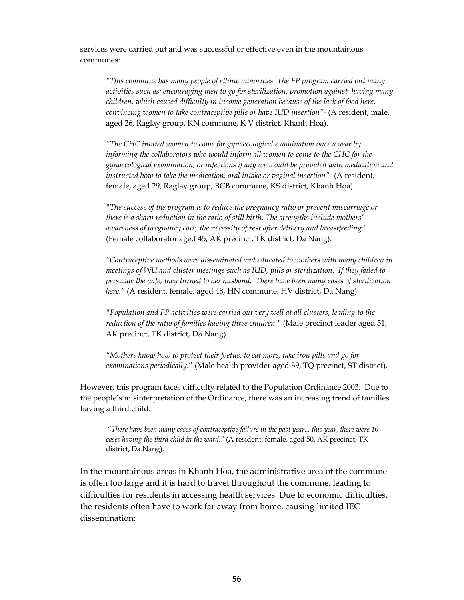services were carried out and was successful or effective even in the mountainous communes:

*"This commune has many people of ethnic minorities. The FP program carried out many activities such as: encouraging men to go for sterilization, promotion against having many children, which caused difficulty in income generation because of the lack of food here, convincing women to take contraceptive pills or have IUD insertion"-* (A resident, male, aged 26, Raglay group, KN commune, K V district, Khanh Hoa).

 *"The CHC invited women to come for gynaecological examination once a year by*  informing the collaborators who would inform all women to come to the CHC for the *gynaecological examination, or infections if any we would be provided with medication and instructed how to take the medication, oral intake or vaginal insertion"* - (A resident, female, aged 29, Raglay group, BCB commune, KS district, Khanh Hoa).

*"The success of the program is to reduce the pregnancy ratio or prevent miscarriage or there is a sharp reduction in the ratio of still birth. The strengths include mothers' awareness of pregnancy care, the necessity of rest after delivery and breastfeeding."* (Female collaborator aged 45, AK precinct, TK district, Da Nang).

*"Contraceptive methods were disseminated and educated to mothers with many children in meetings of WU and cluster meetings such as IUD, pills or sterilization. If they failed to persuade the wife, they turned to her husband. There have been many cases of sterilization*  here." (A resident, female, aged 48, HN commune, HV district, Da Nang).

 *"Population and FP activities were carried out very well at all clusters, leading to the reduction of the ratio of families having three children."* (Male precinct leader aged 51, AK precinct, TK district, Da Nang).

*"Mothers know how to protect their foetus, to eat more, take iron pills and go for examinations periodically.*" (Male health provider aged 39, TQ precinct, ST district).

However, this program faces difficulty related to the Population Ordinance 2003. Due to the people's misinterpretation of the Ordinance, there was an increasing trend of families having a third child.

"*There have been many cases of contraceptive failure in the past year... this year, there were 10 cases having the third child in the ward."* (A resident, female, aged 50, AK precinct, TK district, Da Nang).

 In the mountainous areas in Khanh Hoa, the administrative area of the commune is often too large and it is hard to travel throughout the commune, leading to difficulties for residents in accessing health services. Due to economic difficulties, the residents often have to work far away from home, causing limited IEC dissemination: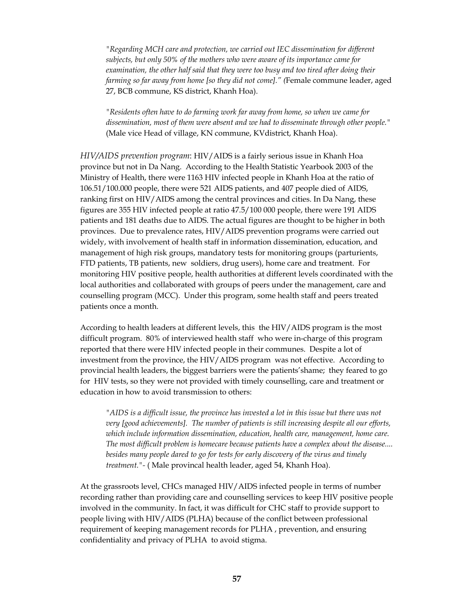*"Regarding MCH care and protection, we carried out IEC dissemination for different subjects, but only 50% of the mothers who were aware of its importance came for examination, the other half said that they were too busy and too tired after doing their farming so far away from home [so they did not come]." (*Female commune leader, aged 27, BCB commune, KS district, Khanh Hoa).

 *"Residents often have to do farming work far away from home, so when we came for dissemination, most of them were absent and we had to disseminate through other people."* (Male vice Head of village, KN commune, KVdistrict, Khanh Hoa).

*HIV/AIDS prevention program*: HIV/AIDS is a fairly serious issue in Khanh Hoa province but not in Da Nang. According to the Health Statistic Yearbook 2003 of the Ministry of Health, there were 1163 HIV infected people in Khanh Hoa at the ratio of 106.51/100.000 people, there were 521 AIDS patients, and 407 people died of AIDS, ranking first on HIV/AIDS among the central provinces and cities. In Da Nang, these figures are 355 HIV infected people at ratio 47.5/100 000 people, there were 191 AIDS patients and 181 deaths due to AIDS. The actual figures are thought to be higher in both provinces. Due to prevalence rates, HIV/AIDS prevention programs were carried out widely, with involvement of health staff in information dissemination, education, and management of high risk groups, mandatory tests for monitoring groups (parturients, FTD patients, TB patients, new soldiers, drug users), home care and treatment. For monitoring HIV positive people, health authorities at different levels coordinated with the local authorities and collaborated with groups of peers under the management, care and counselling program (MCC). Under this program, some health staff and peers treated patients once a month.

According to health leaders at different levels, this the HIV/AIDS program is the most difficult program. 80% of interviewed health staff who were in-charge of this program reported that there were HIV infected people in their communes. Despite a lot of investment from the province, the HIV/AIDS program was not effective. According to provincial health leaders, the biggest barriers were the patients'shame; they feared to go for HIV tests, so they were not provided with timely counselling, care and treatment or education in how to avoid transmission to others:

*"AIDS is a difficult issue, the province has invested a lot in this issue but there was not very [good achievements]. The number of patients is still increasing despite all our efforts, which include information dissemination, education, health care, management, home care. The most difficult problem is homecare because patients have a complex about the disease.... besides many people dared to go for tests for early discovery of the virus and timely treatment."-* ( Male provincal health leader, aged 54, Khanh Hoa).

At the grassroots level, CHCs managed HIV/AIDS infected people in terms of number recording rather than providing care and counselling services to keep HIV positive people involved in the community. In fact, it was difficult for CHC staff to provide support to people living with HIV/AIDS (PLHA) because of the conflict between professional requirement of keeping management records for PLHA , prevention, and ensuring confidentiality and privacy of PLHA to avoid stigma.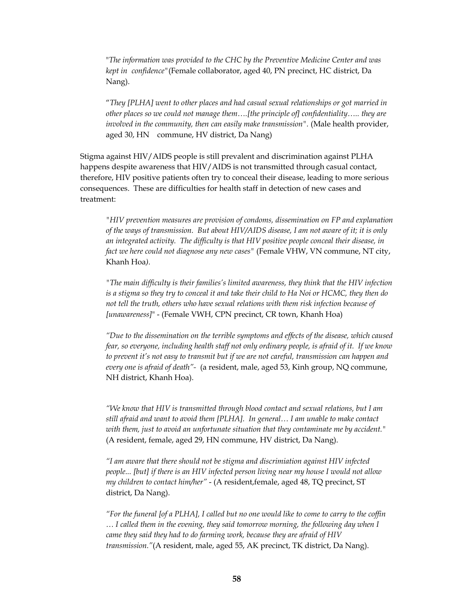"*The information was provided to the CHC by the Preventive Medicine Center and was kept in confidence"*(Female collaborator, aged 40, PN precinct, HC district, Da Nang).

"*They [PLHA] went to other places and had casual sexual relationships or got married in other places so we could not manage them….[the principle of] confidentiality….. they are involved in the community, then can easily make transmission*". (Male health provider, aged 30, HN commune, HV district, Da Nang)

Stigma against HIV/AIDS people is still prevalent and discrimination against PLHA happens despite awareness that HIV/AIDS is not transmitted through casual contact, therefore, HIV positive patients often try to conceal their disease, leading to more serious consequences. These are difficulties for health staff in detection of new cases and treatment:

 *"HIV prevention measures are provision of condoms, dissemination on FP and explanation of the ways of transmission. But about HIV/AIDS disease, I am not aware of it; it is only an integrated activity. The difficulty is that HIV positive people conceal their disease, in fact we here could not diagnose any new cases"* (Female VHW, VN commune, NT city, Khanh Hoa*).* 

 *"The main difficulty is their families's limited awareness, they think that the HIV infection is a stigma so they try to conceal it and take their child to Ha Noi or HCMC, they then do not tell the truth, others who have sexual relations with them risk infection because of [unawareness]*" - (Female VWH, CPN precinct, CR town, Khanh Hoa)

 *"Due to the dissemination on the terrible symptoms and effects of the disease, which caused fear, so everyone, including health staff not only ordinary people, is afraid of it. If we know to prevent it's not easy to transmit but if we are not careful, transmission can happen and every one is afraid of death"-* (a resident, male, aged 53, Kinh group, NQ commune, NH district, Khanh Hoa).

*"We know that HIV is transmitted through blood contact and sexual relations, but I am still afraid and want to avoid them [PLHA]. In general… I am unable to make contact with them, just to avoid an unfortunate situation that they contaminate me by accident."* (A resident, female, aged 29, HN commune, HV district, Da Nang).

*"I am aware that there should not be stigma and discrimiation against HIV infected people... [but] if there is an HIV infected person living near my house I would not allow my children to contact him/her"* - (A resident,female, aged 48, TQ precinct, ST district, Da Nang).

*"For the funeral [of a PLHA], I called but no one would like to come to carry to the coffin … I called them in the evening, they said tomorrow morning, the following day when I came they said they had to do farming work, because they are afraid of HIV transmission."*(A resident, male, aged 55, AK precinct, TK district, Da Nang).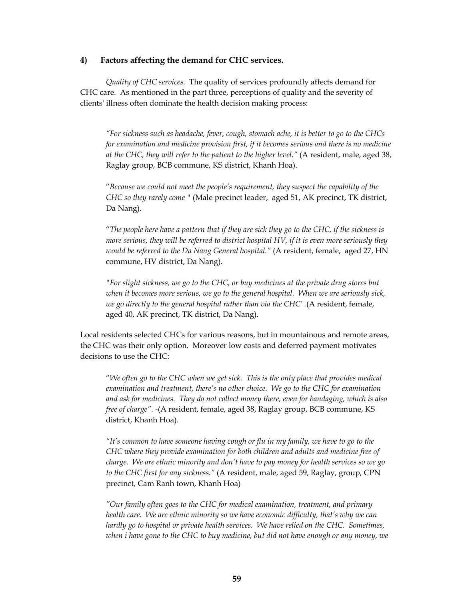#### **4) Factors affecting the demand for CHC services.**

 *Quality of CHC services.* The quality of services profoundly affects demand for CHC care. As mentioned in the part three, perceptions of quality and the severity of clients' illness often dominate the health decision making process:

*"For sickness such as headache, fever, cough, stomach ache, it is better to go to the CHCs for examination and medicine provision first, if it becomes serious and there is no medicine at the CHC, they will refer to the patient to the higher level."* (A resident, male, aged 38, Raglay group, BCB commune, KS district, Khanh Hoa).

"*Because we could not meet the people's requirement, they suspect the capability of the CHC so they rarely come "* (Male precinct leader, aged 51, AK precinct, TK district, Da Nang).

"*The people here have a pattern that if they are sick they go to the CHC, if the sickness is more serious, they will be referred to district hospital HV, if it is even more seriously they would be referred to the Da Nang General hospital."* (A resident, female, aged 27, HN commune, HV district, Da Nang).

 *"For slight sickness, we go to the CHC, or buy medicines at the private drug stores but when it becomes more serious, we go to the general hospital. When we are seriously sick, we go directly to the general hospital rather than via the CHC".*(A resident, female, aged 40, AK precinct, TK district, Da Nang).

Local residents selected CHCs for various reasons, but in mountainous and remote areas, the CHC was their only option. Moreover low costs and deferred payment motivates decisions to use the CHC:

"*We often go to the CHC when we get sick. This is the only place that provides medical examination and treatment, there's no other choice. We go to the CHC for examination and ask for medicines. They do not collect money there, even for bandaging, which is also free of charge". -*(A resident, female, aged 38, Raglay group, BCB commune, KS district, Khanh Hoa).

*"It's common to have someone having cough or flu in my family, we have to go to the CHC where they provide examination for both children and adults and medicine free of charge. We are ethnic minority and don't have to pay money for health services so we go to the CHC first for any sickness."* (A resident, male, aged 59, Raglay, group, CPN precinct, Cam Ranh town, Khanh Hoa)

*"Our family often goes to the CHC for medical examination, treatment, and primary health care. We are ethnic minority so we have economic difficulty, that's why we can hardly go to hospital or private health services. We have relied on the CHC. Sometimes, when i have gone to the CHC to buy medicine, but did not have enough or any money, we*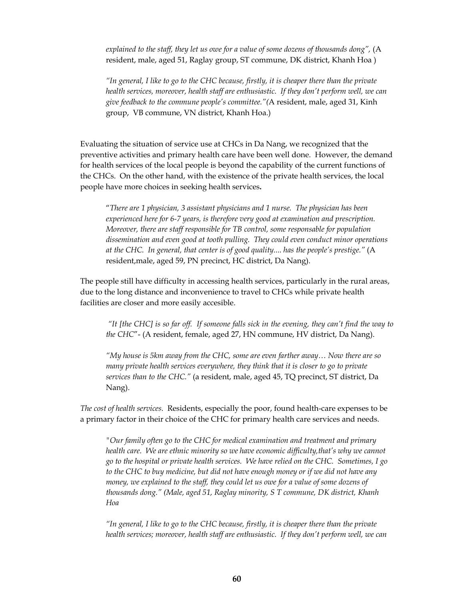*explained to the staff, they let us owe for a value of some dozens of thousands dong",* (A resident, male, aged 51, Raglay group, ST commune, DK district, Khanh Hoa )

*"In general, I like to go to the CHC because, firstly, it is cheaper there than the private health services, moreover, health staff are enthusiastic. If they don't perform well, we can give feedback to the commune people's committee."(*A resident, male, aged 31, Kinh group, VB commune, VN district, Khanh Hoa.)

Evaluating the situation of service use at CHCs in Da Nang, we recognized that the preventive activities and primary health care have been well done. However, the demand for health services of the local people is beyond the capability of the current functions of the CHCs. On the other hand, with the existence of the private health services, the local people have more choices in seeking health services**.** 

"*There are 1 physician, 3 assistant physicians and 1 nurse. The physician has been experienced here for 6-7 years, is therefore very good at examination and prescription. Moreover, there are staff responsible for TB control, some responsable for population dissemination and even good at tooth pulling. They could even conduct minor operations at the CHC. In general, that center is of good quality.... has the people's prestige."* (A resident,male, aged 59, PN precinct, HC district, Da Nang).

The people still have difficulty in accessing health services, particularly in the rural areas, due to the long distance and inconvenience to travel to CHCs while private health facilities are closer and more easily accesible.

*"It [the CHC] is so far off. If someone falls sick in the evening, they can't find the way to the CHC*"- (A resident, female, aged 27, HN commune, HV district, Da Nang).

 *"My house is 5km away from the CHC, some are even farther away… Now there are so many private health services everywhere, they think that it is closer to go to private services than to the CHC."* (a resident, male, aged 45, TQ precinct, ST district, Da Nang).

*The cost of health services.* Residents, especially the poor, found health-care expenses to be a primary factor in their choice of the CHC for primary health care services and needs.

*"Our family often go to the CHC for medical examination and treatment and primary health care. We are ethnic minority so we have economic difficulty,that's why we cannot go to the hospital or private health services. We have relied on the CHC. Sometimes, I go to the CHC to buy medicine, but did not have enough money or if we did not have any money, we explained to the staff, they could let us owe for a value of some dozens of thousands dong." (Male, aged 51, Raglay minority, S T commune, DK district, Khanh Hoa* 

*"In general, I like to go to the CHC because, firstly, it is cheaper there than the private health services; moreover, health staff are enthusiastic. If they don't perform well, we can*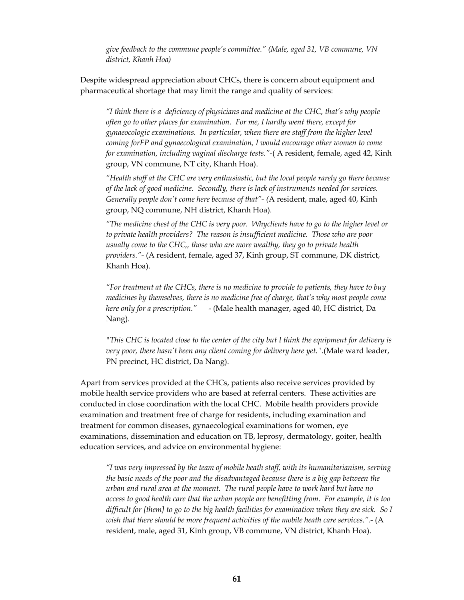*give feedback to the commune people's committee." (Male, aged 31, VB commune, VN district, Khanh Hoa)* 

Despite widespread appreciation about CHCs, there is concern about equipment and pharmaceutical shortage that may limit the range and quality of services:

*"I think there is a deficiency of physicians and medicine at the CHC, that's why people often go to other places for examination. For me, I hardly went there, except for gynaeocologic examinations. In particular, when there are staff from the higher level coming forFP and gynaecological examination, I would encourage other women to come for examination, including vaginal discharge tests."-*( A resident, female, aged 42, Kinh group, VN commune, NT city, Khanh Hoa).

*"Health staff at the CHC are very enthusiastic, but the local people rarely go there because of the lack of good medicine. Secondly, there is lack of instruments needed for services. Generally people don't come here because of that"- (*A resident, male, aged 40, Kinh group, NQ commune, NH district, Khanh Hoa)*.* 

*"The medicine chest of the CHC is very poor. Whyclients have to go to the higher level or to private health providers? The reason is insufficient medicine. Those who are poor usually come to the CHC,, those who are more wealthy, they go to private health providers."-* (A resident, female, aged 37, Kinh group, ST commune, DK district, Khanh Hoa).

*"For treatment at the CHCs, there is no medicine to provide to patients, they have to buy medicines by themselves, there is no medicine free of charge, that's why most people come here only for a prescription."* - (Male health manager, aged 40, HC district, Da Nang).

*"This CHC is located close to the center of the city but I think the equipment for delivery is very poor, there hasn't been any client coming for delivery here yet.".*(Male ward leader, PN precinct, HC district, Da Nang).

Apart from services provided at the CHCs, patients also receive services provided by mobile health service providers who are based at referral centers. These activities are conducted in close coordination with the local CHC. Mobile health providers provide examination and treatment free of charge for residents, including examination and treatment for common diseases, gynaecological examinations for women, eye examinations, dissemination and education on TB, leprosy, dermatology, goiter, health education services, and advice on environmental hygiene:

*"I was very impressed by the team of mobile heath staff, with its humanitarianism, serving the basic needs of the poor and the disadvantaged because there is a big gap between the urban and rural area at the moment. The rural people have to work hard but have no access to good health care that the urban people are benefitting from. For example, it is too difficult for [them] to go to the big health facilities for examination when they are sick. So I wish that there should be more frequent activities of the mobile heath care services.".-* (A resident, male, aged 31, Kinh group, VB commune, VN district, Khanh Hoa).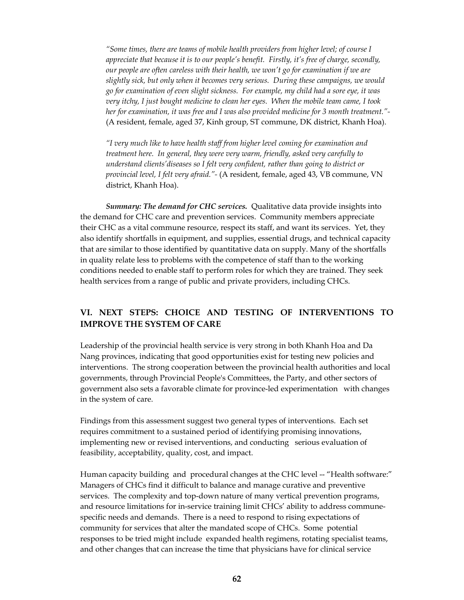*"Some times, there are teams of mobile health providers from higher level; of course I appreciate that because it is to our people's benefit. Firstly, it's free of charge, secondly, our people are often careless with their health, we won't go for examination if we are slightly sick, but only when it becomes very serious. During these campaigns, we would go for examination of even slight sickness. For example, my child had a sore eye, it was very itchy, I just bought medicine to clean her eyes. When the mobile team came, I took her for examination, it was free and I was also provided medicine for 3 month treatment."-*  (A resident, female, aged 37, Kinh group, ST commune, DK district, Khanh Hoa).

*"I very much like to have health staff from higher level coming for examination and treatment here. In general, they were very warm, friendly, asked very carefully to understand clients'diseases so I felt very confident, rather than going to district or provincial level, I felt very afraid."-* (A resident, female, aged 43, VB commune, VN district, Khanh Hoa).

*Summary: The demand for CHC services.* Qualitative data provide insights into the demand for CHC care and prevention services. Community members appreciate their CHC as a vital commune resource, respect its staff, and want its services. Yet, they also identify shortfalls in equipment, and supplies, essential drugs, and technical capacity that are similar to those identified by quantitative data on supply. Many of the shortfalls in quality relate less to problems with the competence of staff than to the working conditions needed to enable staff to perform roles for which they are trained. They seek health services from a range of public and private providers, including CHCs.

### **VI. NEXT STEPS: CHOICE AND TESTING OF INTERVENTIONS TO IMPROVE THE SYSTEM OF CARE**

Leadership of the provincial health service is very strong in both Khanh Hoa and Da Nang provinces, indicating that good opportunities exist for testing new policies and interventions. The strong cooperation between the provincial health authorities and local governments, through Provincial People's Committees, the Party, and other sectors of government also sets a favorable climate for province-led experimentation with changes in the system of care.

Findings from this assessment suggest two general types of interventions. Each set requires commitment to a sustained period of identifying promising innovations, implementing new or revised interventions, and conducting serious evaluation of feasibility, acceptability, quality, cost, and impact.

Human capacity building and procedural changes at the CHC level -- "Health software:" Managers of CHCs find it difficult to balance and manage curative and preventive services. The complexity and top-down nature of many vertical prevention programs, and resource limitations for in-service training limit CHCs' ability to address communespecific needs and demands. There is a need to respond to rising expectations of community for services that alter the mandated scope of CHCs. Some potential responses to be tried might include expanded health regimens, rotating specialist teams, and other changes that can increase the time that physicians have for clinical service